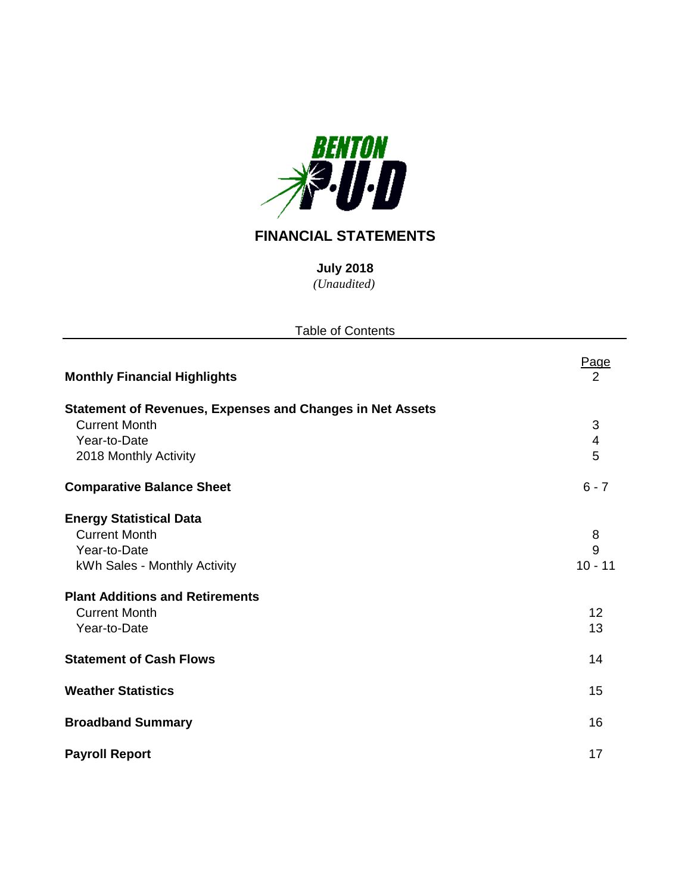

# **FINANCIAL STATEMENTS**

*(Unaudited)* **July 2018**

| <b>Table of Contents</b>                                                                                                                                                                 |                                 |  |  |  |  |  |  |
|------------------------------------------------------------------------------------------------------------------------------------------------------------------------------------------|---------------------------------|--|--|--|--|--|--|
| <b>Monthly Financial Highlights</b>                                                                                                                                                      | Page<br>$\overline{2}$          |  |  |  |  |  |  |
| <b>Statement of Revenues, Expenses and Changes in Net Assets</b><br><b>Current Month</b><br>Year-to-Date<br>2018 Monthly Activity                                                        | 3<br>4<br>5                     |  |  |  |  |  |  |
| <b>Comparative Balance Sheet</b>                                                                                                                                                         | $6 - 7$                         |  |  |  |  |  |  |
| <b>Energy Statistical Data</b><br><b>Current Month</b><br>Year-to-Date<br>kWh Sales - Monthly Activity<br><b>Plant Additions and Retirements</b><br><b>Current Month</b><br>Year-to-Date | 8<br>9<br>$10 - 11$<br>12<br>13 |  |  |  |  |  |  |
| <b>Statement of Cash Flows</b>                                                                                                                                                           | 14                              |  |  |  |  |  |  |
| <b>Weather Statistics</b>                                                                                                                                                                | 15                              |  |  |  |  |  |  |
| <b>Broadband Summary</b>                                                                                                                                                                 | 16                              |  |  |  |  |  |  |
| <b>Payroll Report</b>                                                                                                                                                                    | 17                              |  |  |  |  |  |  |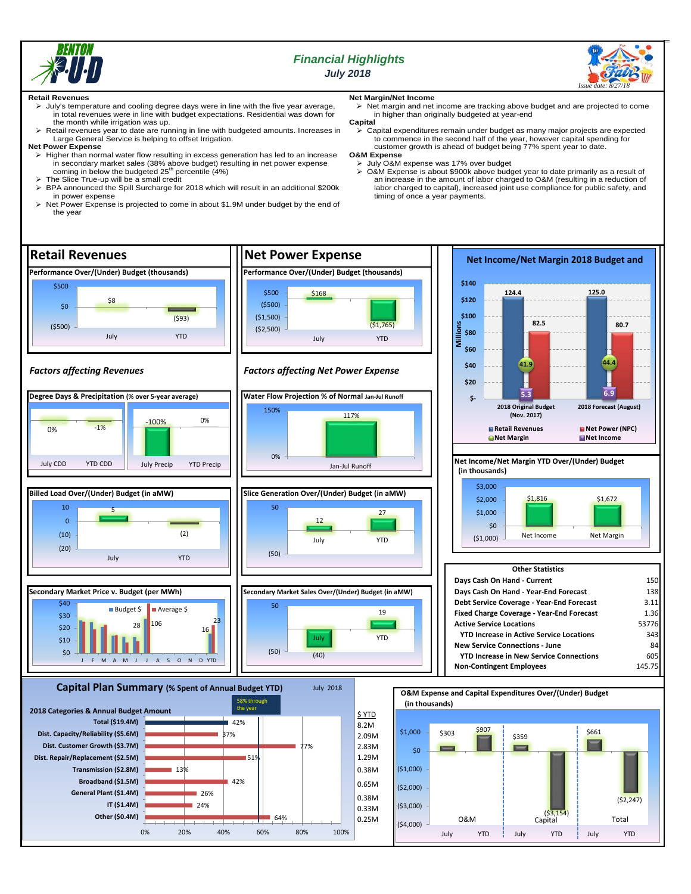

## *Financial Highlights July 2018*



#### **Retail Revenues**

- July's temperature and cooling degree days were in line with the five year average, in total revenues were in line with budget expectations. Residential was down for the month while irrigation was up.
- Retail revenues year to date are running in line with budgeted amounts. Increases in Large General Service is helping to offset Irrigation.

#### **Net Power Expense**

- Higher than normal water flow resulting in excess generation has led to an increase in secondary market sales (38% above budget) resulting in net power expense<br>coming in below the budgeted 25<sup>th</sup> percentile (4%)
- The Slice True-up will be a small credit
- BPA announced the Spill Surcharge for 2018 which will result in an additional \$200k in power expense
- Net Power Expense is projected to come in about \$1.9M under budget by the end of the year

## **Net Margin/Net Income**

 $\triangleright$  Net margin and net income are tracking above budget and are projected to come in higher than originally budgeted at year-end

#### **Capital**

 Capital expenditures remain under budget as many major projects are expected to commence in the second half of the year, however capital spending for customer growth is ahead of budget being 77% spent year to date. **O&M Expense**

> July O&M expense was 17% over budget

 O&M Expense is about \$900k above budget year to date primarily as a result of an increase in the amount of labor charged to O&M (resulting in a reduction of labor charged to capital), increased joint use compliance for public safety, and timing of once a year payments.

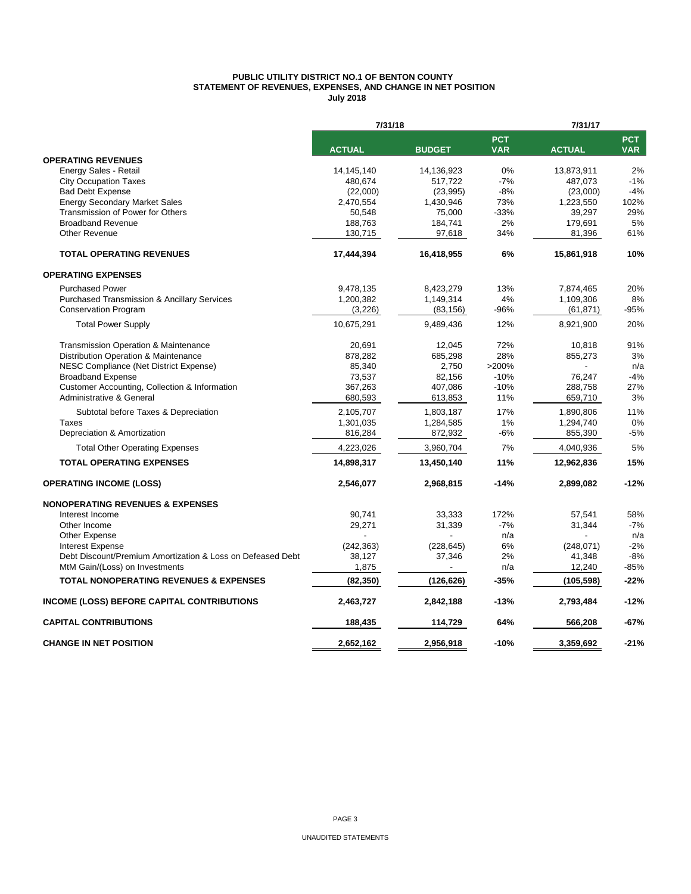#### **PUBLIC UTILITY DISTRICT NO.1 OF BENTON COUNTY STATEMENT OF REVENUES, EXPENSES, AND CHANGE IN NET POSITION July 2018**

|                                                            | 7/31/18            |               | 7/31/17                  |               |                          |  |
|------------------------------------------------------------|--------------------|---------------|--------------------------|---------------|--------------------------|--|
|                                                            | <b>ACTUAL</b>      | <b>BUDGET</b> | <b>PCT</b><br><b>VAR</b> | <b>ACTUAL</b> | <b>PCT</b><br><b>VAR</b> |  |
| <b>OPERATING REVENUES</b>                                  |                    |               |                          |               |                          |  |
| Energy Sales - Retail                                      | 14,145,140         | 14,136,923    | 0%                       | 13,873,911    | 2%                       |  |
| <b>City Occupation Taxes</b>                               | 480.674            | 517.722       | $-7%$                    | 487.073       | $-1%$                    |  |
| <b>Bad Debt Expense</b>                                    | (22,000)           | (23,995)      | $-8%$                    | (23,000)      | $-4%$                    |  |
| <b>Energy Secondary Market Sales</b>                       | 2,470,554          | 1,430,946     | 73%                      | 1,223,550     | 102%                     |  |
| Transmission of Power for Others                           | 50,548             | 75,000        | $-33%$                   | 39,297        | 29%                      |  |
| <b>Broadband Revenue</b>                                   | 188,763            | 184,741       | 2%                       | 179,691       | 5%                       |  |
| <b>Other Revenue</b>                                       | 130,715            | 97,618        | 34%                      | 81,396        | 61%                      |  |
| <b>TOTAL OPERATING REVENUES</b>                            | 17,444,394         | 16,418,955    | 6%                       | 15,861,918    | 10%                      |  |
| <b>OPERATING EXPENSES</b>                                  |                    |               |                          |               |                          |  |
| <b>Purchased Power</b>                                     | 9,478,135          | 8,423,279     | 13%                      | 7,874,465     | 20%                      |  |
| <b>Purchased Transmission &amp; Ancillary Services</b>     | 1,200,382          | 1,149,314     | 4%                       | 1,109,306     | 8%                       |  |
| <b>Conservation Program</b>                                | (3,226)            | (83, 156)     | -96%                     | (61, 871)     | -95%                     |  |
| <b>Total Power Supply</b>                                  | 10,675,291         | 9,489,436     | 12%                      | 8,921,900     | 20%                      |  |
| <b>Transmission Operation &amp; Maintenance</b>            | 20,691             | 12,045        | 72%                      | 10,818        | 91%                      |  |
| Distribution Operation & Maintenance                       | 878,282            | 685,298       | 28%                      | 855,273       | 3%                       |  |
| NESC Compliance (Net District Expense)                     | 85,340             | 2,750         | >200%                    |               | n/a                      |  |
| <b>Broadband Expense</b>                                   | 73,537             | 82,156        | $-10%$                   | 76,247        | $-4%$                    |  |
| Customer Accounting, Collection & Information              | 367,263            | 407,086       | $-10%$                   | 288,758       | 27%                      |  |
| Administrative & General                                   | 680,593            | 613,853       | 11%                      | 659,710       | 3%                       |  |
| Subtotal before Taxes & Depreciation                       | 2,105,707          | 1,803,187     | 17%                      | 1,890,806     | 11%                      |  |
| Taxes                                                      | 1,301,035          | 1,284,585     | 1%                       | 1,294,740     | 0%                       |  |
| Depreciation & Amortization                                | 816,284            | 872,932       | $-6%$                    | 855,390       | $-5%$                    |  |
| <b>Total Other Operating Expenses</b>                      | 4,223,026          | 3,960,704     | 7%                       | 4,040,936     | 5%                       |  |
| <b>TOTAL OPERATING EXPENSES</b>                            | 14,898,317         | 13,450,140    | 11%                      | 12,962,836    | 15%                      |  |
| <b>OPERATING INCOME (LOSS)</b>                             | 2,546,077          | 2,968,815     | $-14%$                   | 2,899,082     | $-12%$                   |  |
| <b>NONOPERATING REVENUES &amp; EXPENSES</b>                |                    |               |                          |               |                          |  |
| Interest Income                                            | 90,741             | 33,333        | 172%                     | 57,541        | 58%                      |  |
| Other Income                                               | 29,271             | 31,339        | $-7%$                    | 31,344        | $-7%$                    |  |
| Other Expense                                              |                    |               | n/a                      |               | n/a                      |  |
| <b>Interest Expense</b>                                    | (242, 363)         | (228, 645)    | 6%                       | (248, 071)    | $-2%$                    |  |
| Debt Discount/Premium Amortization & Loss on Defeased Debt | 38,127             | 37,346        | 2%                       | 41,348        | $-8%$                    |  |
| MtM Gain/(Loss) on Investments                             | 1,875              |               | n/a                      | 12,240        | -85%                     |  |
| <b>TOTAL NONOPERATING REVENUES &amp; EXPENSES</b>          | (82, 350)          | (126, 626)    | $-35%$                   | (105, 598)    | $-22%$                   |  |
| <b>INCOME (LOSS) BEFORE CAPITAL CONTRIBUTIONS</b>          | 2,463,727          | 2,842,188     | $-13%$                   | 2,793,484     | $-12%$                   |  |
| <b>CAPITAL CONTRIBUTIONS</b>                               | 188,435<br>114,729 |               | 64%                      | 566,208       | -67%                     |  |
| <b>CHANGE IN NET POSITION</b>                              | 2,652,162          | 2,956,918     | $-10%$                   | 3,359,692     | $-21%$                   |  |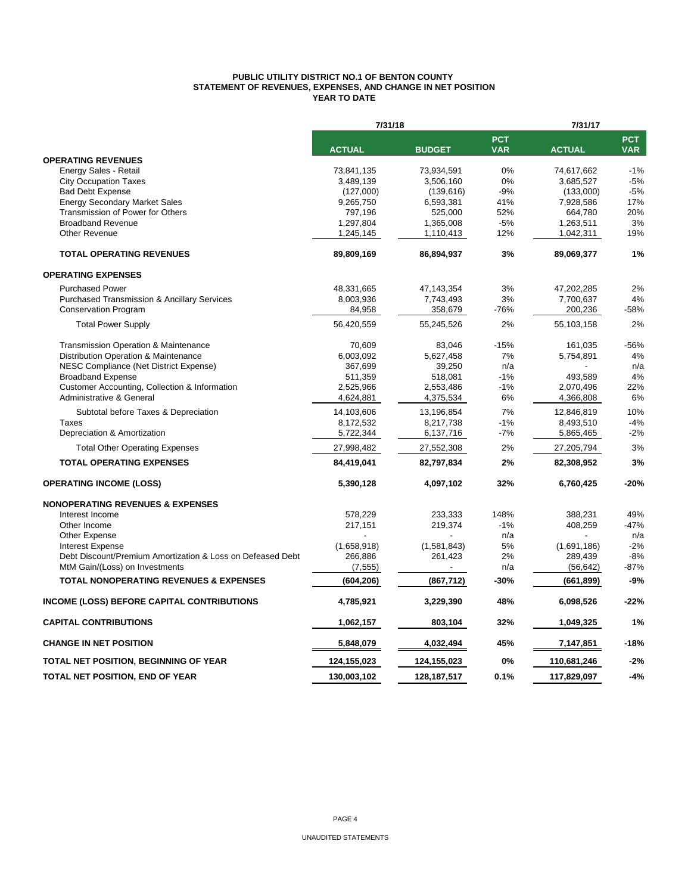#### **PUBLIC UTILITY DISTRICT NO.1 OF BENTON COUNTY STATEMENT OF REVENUES, EXPENSES, AND CHANGE IN NET POSITION YEAR TO DATE**

|                                                              | 7/31/18                |                        |                          | 7/31/17                |                          |  |  |
|--------------------------------------------------------------|------------------------|------------------------|--------------------------|------------------------|--------------------------|--|--|
|                                                              | <b>ACTUAL</b>          | <b>BUDGET</b>          | <b>PCT</b><br><b>VAR</b> | <b>ACTUAL</b>          | <b>PCT</b><br><b>VAR</b> |  |  |
| <b>OPERATING REVENUES</b>                                    |                        |                        |                          |                        |                          |  |  |
| Energy Sales - Retail                                        | 73,841,135             | 73,934,591             | 0%                       | 74,617,662             | $-1%$                    |  |  |
| <b>City Occupation Taxes</b>                                 | 3,489,139              | 3,506,160              | 0%                       | 3,685,527              | $-5%$                    |  |  |
| <b>Bad Debt Expense</b>                                      | (127,000)              | (139, 616)             | $-9%$                    | (133,000)              | $-5%$                    |  |  |
| <b>Energy Secondary Market Sales</b>                         | 9,265,750              | 6,593,381              | 41%                      | 7,928,586              | 17%                      |  |  |
| Transmission of Power for Others<br><b>Broadband Revenue</b> | 797,196                | 525,000                | 52%                      | 664,780                | 20%                      |  |  |
| Other Revenue                                                | 1,297,804<br>1,245,145 | 1,365,008<br>1,110,413 | $-5%$<br>12%             | 1,263,511<br>1,042,311 | 3%<br>19%                |  |  |
| <b>TOTAL OPERATING REVENUES</b>                              | 89,809,169             | 86,894,937             | 3%                       | 89,069,377             | 1%                       |  |  |
| <b>OPERATING EXPENSES</b>                                    |                        |                        |                          |                        |                          |  |  |
| <b>Purchased Power</b>                                       | 48,331,665             | 47,143,354             | 3%                       | 47,202,285             | 2%                       |  |  |
| <b>Purchased Transmission &amp; Ancillary Services</b>       | 8,003,936              | 7,743,493              | 3%                       | 7,700,637              | 4%                       |  |  |
| <b>Conservation Program</b>                                  | 84,958                 | 358,679                | -76%                     | 200,236                | $-58%$                   |  |  |
| <b>Total Power Supply</b>                                    | 56,420,559             | 55,245,526             | 2%                       | 55,103,158             | 2%                       |  |  |
| Transmission Operation & Maintenance                         | 70,609                 | 83,046                 | $-15%$                   | 161,035                | $-56%$                   |  |  |
| Distribution Operation & Maintenance                         | 6,003,092              | 5,627,458              | 7%                       | 5,754,891              | 4%                       |  |  |
| NESC Compliance (Net District Expense)                       | 367,699                | 39,250                 | n/a                      |                        | n/a                      |  |  |
| <b>Broadband Expense</b>                                     | 511,359                | 518,081                | $-1%$                    | 493,589                | 4%                       |  |  |
| Customer Accounting, Collection & Information                | 2,525,966              | 2,553,486              | $-1%$                    | 2,070,496              | 22%                      |  |  |
| Administrative & General                                     | 4,624,881              | 4,375,534              | 6%                       | 4,366,808              | 6%                       |  |  |
| Subtotal before Taxes & Depreciation                         | 14,103,606             | 13,196,854             | 7%                       | 12,846,819             | 10%                      |  |  |
| <b>Taxes</b>                                                 | 8,172,532              | 8,217,738              | $-1%$                    | 8,493,510              | $-4%$                    |  |  |
| Depreciation & Amortization                                  | 5,722,344              | 6,137,716              | $-7%$                    | 5,865,465              | $-2%$                    |  |  |
| <b>Total Other Operating Expenses</b>                        | 27,998,482             | 27,552,308             | 2%                       | 27,205,794             | 3%                       |  |  |
| <b>TOTAL OPERATING EXPENSES</b>                              | 84,419,041             | 82,797,834             | 2%                       | 82,308,952             | 3%                       |  |  |
| <b>OPERATING INCOME (LOSS)</b>                               | 5,390,128              | 4,097,102              | 32%                      | 6,760,425              | $-20%$                   |  |  |
| <b>NONOPERATING REVENUES &amp; EXPENSES</b>                  |                        |                        |                          |                        |                          |  |  |
| Interest Income                                              | 578,229                | 233,333                | 148%                     | 388.231                | 49%                      |  |  |
| Other Income                                                 | 217,151                | 219,374                | $-1%$                    | 408,259                | $-47%$                   |  |  |
| Other Expense                                                |                        |                        | n/a                      |                        | n/a                      |  |  |
| <b>Interest Expense</b>                                      | (1,658,918)            | (1,581,843)            | 5%                       | (1,691,186)            | $-2%$                    |  |  |
| Debt Discount/Premium Amortization & Loss on Defeased Debt   | 266,886                | 261,423                | 2%                       | 289,439                | $-8%$                    |  |  |
| MtM Gain/(Loss) on Investments                               | (7, 555)               |                        | n/a                      | (56, 642)              | $-87%$                   |  |  |
| <b>TOTAL NONOPERATING REVENUES &amp; EXPENSES</b>            | (604, 206)             | (867, 712)             | $-30%$                   | (661,899)              | $-9%$                    |  |  |
| <b>INCOME (LOSS) BEFORE CAPITAL CONTRIBUTIONS</b>            | 4,785,921              | 3,229,390              | 48%                      | 6,098,526              | $-22%$                   |  |  |
| <b>CAPITAL CONTRIBUTIONS</b>                                 | 1,062,157              | 803,104                | 32%                      | 1,049,325              | 1%                       |  |  |
| <b>CHANGE IN NET POSITION</b>                                | 5,848,079              | 4,032,494              | 45%                      | 7,147,851              | $-18%$                   |  |  |
| TOTAL NET POSITION, BEGINNING OF YEAR                        | 124,155,023            | 124,155,023            | 0%                       | 110,681,246            | $-2%$                    |  |  |
| TOTAL NET POSITION, END OF YEAR                              | 130,003,102            | 128, 187, 517          | 0.1%                     | 117,829,097            | $-4%$                    |  |  |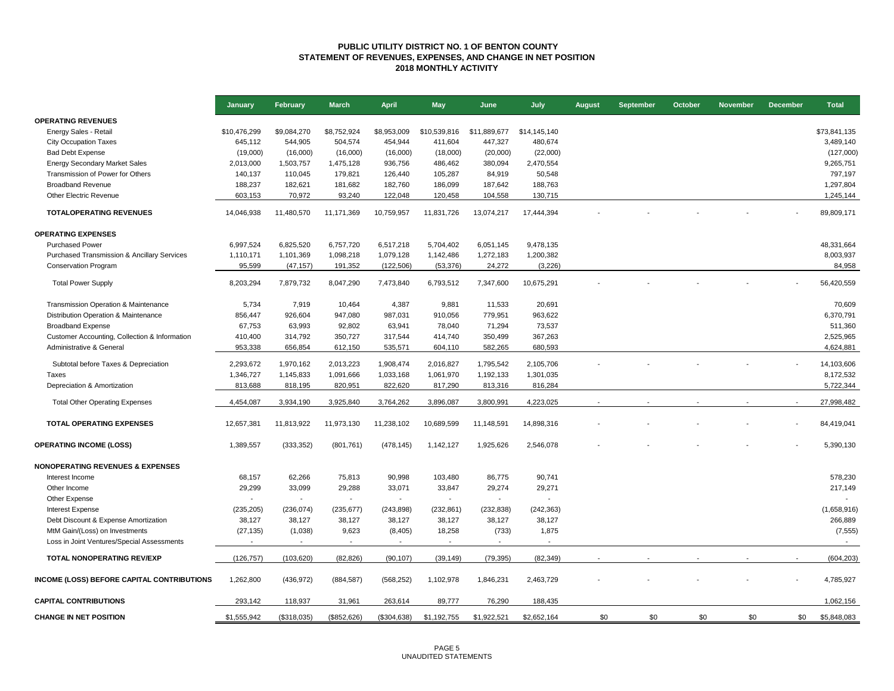#### **PUBLIC UTILITY DISTRICT NO. 1 OF BENTON COUNTY STATEMENT OF REVENUES, EXPENSES, AND CHANGE IN NET POSITION 2018 MONTHLY ACTIVITY**

|                                               | January      | <b>February</b>          | <b>March</b>             | <b>April</b>             | <b>May</b>               | June                     | July           | <b>August</b> | <b>September</b> | October | <b>November</b> | <b>December</b> | <b>Total</b> |
|-----------------------------------------------|--------------|--------------------------|--------------------------|--------------------------|--------------------------|--------------------------|----------------|---------------|------------------|---------|-----------------|-----------------|--------------|
| <b>OPERATING REVENUES</b>                     |              |                          |                          |                          |                          |                          |                |               |                  |         |                 |                 |              |
| Energy Sales - Retail                         | \$10,476,299 | \$9,084,270              | \$8,752,924              | \$8,953,009              | \$10,539,816             | \$11,889,677             | \$14,145,140   |               |                  |         |                 |                 | \$73,841,135 |
| <b>City Occupation Taxes</b>                  | 645,112      | 544,905                  | 504,574                  | 454,944                  | 411,604                  | 447,327                  | 480,674        |               |                  |         |                 |                 | 3,489,140    |
| <b>Bad Debt Expense</b>                       | (19,000)     | (16,000)                 | (16,000)                 | (16,000)                 | (18,000)                 | (20,000)                 | (22,000)       |               |                  |         |                 |                 | (127,000)    |
| <b>Energy Secondary Market Sales</b>          | 2,013,000    | 1,503,757                | 1,475,128                | 936,756                  | 486,462                  | 380,094                  | 2,470,554      |               |                  |         |                 |                 | 9,265,751    |
| Transmission of Power for Others              | 140,137      | 110,045                  | 179,821                  | 126,440                  | 105,287                  | 84,919                   | 50,548         |               |                  |         |                 |                 | 797,197      |
| <b>Broadband Revenue</b>                      | 188,237      | 182,621                  | 181,682                  | 182,760                  | 186,099                  | 187,642                  | 188,763        |               |                  |         |                 |                 | 1,297,804    |
| Other Electric Revenue                        | 603,153      | 70,972                   | 93,240                   | 122,048                  | 120,458                  | 104,558                  | 130,715        |               |                  |         |                 |                 | 1,245,144    |
| <b>TOTALOPERATING REVENUES</b>                | 14,046,938   | 11,480,570               | 11,171,369               | 10,759,957               | 11,831,726               | 13,074,217               | 17,444,394     |               |                  |         |                 |                 | 89,809,171   |
| <b>OPERATING EXPENSES</b>                     |              |                          |                          |                          |                          |                          |                |               |                  |         |                 |                 |              |
| <b>Purchased Power</b>                        | 6,997,524    | 6,825,520                | 6,757,720                | 6,517,218                | 5,704,402                | 6,051,145                | 9,478,135      |               |                  |         |                 |                 | 48,331,664   |
| Purchased Transmission & Ancillary Services   | 1,110,171    | 1,101,369                | 1,098,218                | 1,079,128                | 1,142,486                | 1,272,183                | 1,200,382      |               |                  |         |                 |                 | 8,003,937    |
| <b>Conservation Program</b>                   | 95,599       | (47, 157)                | 191,352                  | (122, 506)               | (53, 376)                | 24,272                   | (3,226)        |               |                  |         |                 |                 | 84,958       |
|                                               |              |                          |                          |                          |                          |                          |                |               |                  |         |                 |                 |              |
| <b>Total Power Supply</b>                     | 8,203,294    | 7,879,732                | 8,047,290                | 7,473,840                | 6,793,512                | 7,347,600                | 10,675,291     |               |                  |         |                 |                 | 56,420,559   |
| Transmission Operation & Maintenance          | 5,734        | 7,919                    | 10,464                   | 4,387                    | 9,881                    | 11,533                   | 20,691         |               |                  |         |                 |                 | 70,609       |
| Distribution Operation & Maintenance          | 856,447      | 926,604                  | 947,080                  | 987,031                  | 910,056                  | 779,951                  | 963,622        |               |                  |         |                 |                 | 6,370,791    |
| <b>Broadband Expense</b>                      | 67,753       | 63,993                   | 92,802                   | 63,941                   | 78,040                   | 71,294                   | 73,537         |               |                  |         |                 |                 | 511,360      |
| Customer Accounting, Collection & Information | 410,400      | 314,792                  | 350,727                  | 317,544                  | 414,740                  | 350,499                  | 367,263        |               |                  |         |                 |                 | 2,525,965    |
| Administrative & General                      | 953,338      | 656,854                  | 612,150                  | 535,571                  | 604,110                  | 582,265                  | 680,593        |               |                  |         |                 |                 | 4,624,881    |
|                                               |              |                          |                          |                          |                          |                          |                |               |                  |         |                 |                 |              |
| Subtotal before Taxes & Depreciation          | 2,293,672    | 1,970,162                | 2,013,223                | 1,908,474                | 2,016,827                | 1,795,542                | 2,105,706      |               |                  |         |                 |                 | 14,103,606   |
| Taxes                                         | 1,346,727    | 1,145,833                | 1,091,666                | 1,033,168                | 1,061,970                | 1,192,133                | 1,301,035      |               |                  |         |                 |                 | 8,172,532    |
| Depreciation & Amortization                   | 813,688      | 818,195                  | 820,951                  | 822,620                  | 817,290                  | 813,316                  | 816,284        |               |                  |         |                 |                 | 5,722,344    |
| <b>Total Other Operating Expenses</b>         | 4,454,087    | 3,934,190                | 3,925,840                | 3,764,262                | 3,896,087                | 3,800,991                | 4,223,025      |               |                  |         |                 |                 | 27,998,482   |
| <b>TOTAL OPERATING EXPENSES</b>               | 12,657,381   | 11,813,922               | 11,973,130               | 11,238,102               | 10,689,599               | 11,148,591               | 14,898,316     |               |                  |         |                 |                 | 84,419,041   |
|                                               |              |                          |                          |                          |                          |                          |                |               |                  |         |                 |                 |              |
| <b>OPERATING INCOME (LOSS)</b>                | 1,389,557    | (333, 352)               | (801, 761)               | (478, 145)               | 1,142,127                | 1,925,626                | 2,546,078      |               |                  |         |                 |                 | 5,390,130    |
| <b>NONOPERATING REVENUES &amp; EXPENSES</b>   |              |                          |                          |                          |                          |                          |                |               |                  |         |                 |                 |              |
| Interest Income                               | 68,157       | 62,266                   | 75,813                   | 90,998                   | 103,480                  | 86,775                   | 90,741         |               |                  |         |                 |                 | 578,230      |
| Other Income                                  | 29,299       | 33,099                   | 29,288                   | 33,071                   | 33,847                   | 29,274                   | 29,271         |               |                  |         |                 |                 | 217,149      |
| Other Expense                                 |              | $\overline{a}$           | $\overline{\phantom{a}}$ | $\blacksquare$           | $\blacksquare$           | $\overline{a}$           | $\overline{a}$ |               |                  |         |                 |                 |              |
| <b>Interest Expense</b>                       | (235, 205)   | (236, 074)               | (235, 677)               | (243, 898)               | (232, 861)               | (232, 838)               | (242, 363)     |               |                  |         |                 |                 | (1,658,916)  |
| Debt Discount & Expense Amortization          | 38,127       | 38,127                   | 38,127                   | 38,127                   | 38,127                   | 38,127                   | 38,127         |               |                  |         |                 |                 | 266,889      |
| MtM Gain/(Loss) on Investments                | (27, 135)    | (1,038)                  | 9,623                    | (8, 405)                 | 18,258                   | (733)                    | 1,875          |               |                  |         |                 |                 | (7, 555)     |
| Loss in Joint Ventures/Special Assessments    |              | $\overline{\phantom{a}}$ | $\overline{\phantom{a}}$ | $\overline{\phantom{a}}$ | $\overline{\phantom{a}}$ | $\overline{\phantom{a}}$ |                |               |                  |         |                 |                 |              |
| <b>TOTAL NONOPERATING REV/EXP</b>             | (126, 757)   | (103, 620)               | (82, 826)                | (90, 107)                | (39, 149)                | (79, 395)                | (82, 349)      |               |                  |         |                 |                 | (604, 203)   |
| INCOME (LOSS) BEFORE CAPITAL CONTRIBUTIONS    | 1,262,800    | (436, 972)               |                          | (568, 252)               | 1,102,978                | 1,846,231                | 2,463,729      |               |                  |         |                 |                 | 4,785,927    |
|                                               |              |                          | (884, 587)               |                          |                          |                          |                |               |                  |         |                 |                 |              |
| <b>CAPITAL CONTRIBUTIONS</b>                  | 293,142      | 118,937                  | 31,961                   | 263,614                  | 89,777                   | 76,290                   | 188,435        |               |                  |         |                 |                 | 1,062,156    |
| <b>CHANGE IN NET POSITION</b>                 | \$1,555,942  | (\$318,035)              | (\$852,626)              | (\$304,638)              | \$1,192,755              | \$1,922,521              | \$2,652,164    | \$0           | \$0              | \$0     | \$0             | \$0             | \$5,848,083  |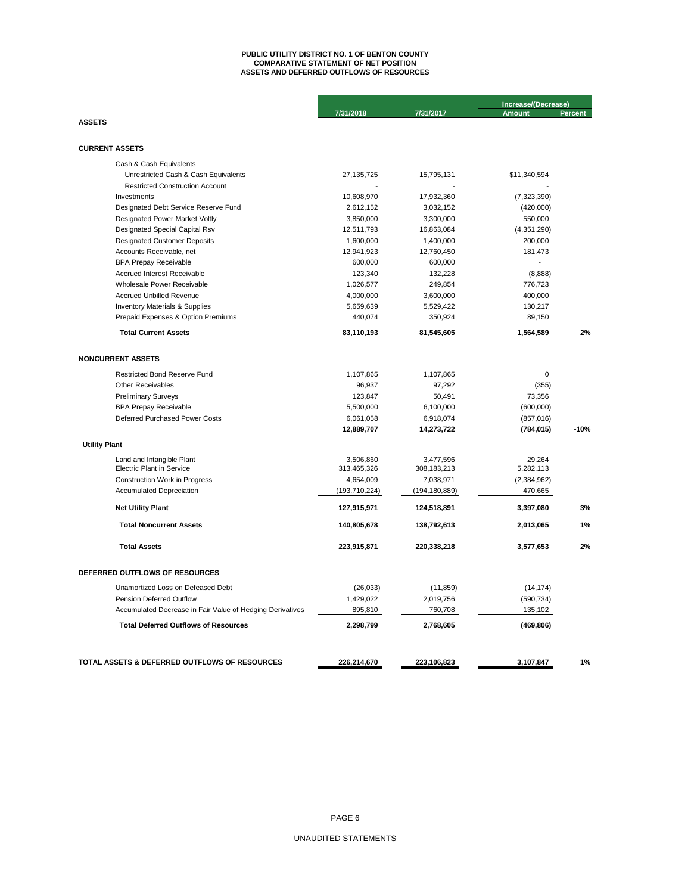## **ASSETS AND DEFERRED OUTFLOWS OF RESOURCES PUBLIC UTILITY DISTRICT NO. 1 OF BENTON COUNTY COMPARATIVE STATEMENT OF NET POSITION**

|                                                           |                 |                 | Increase/(Decrease) |                |  |
|-----------------------------------------------------------|-----------------|-----------------|---------------------|----------------|--|
|                                                           | 7/31/2018       | 7/31/2017       | <b>Amount</b>       | <b>Percent</b> |  |
| <b>ASSETS</b>                                             |                 |                 |                     |                |  |
|                                                           |                 |                 |                     |                |  |
| <b>CURRENT ASSETS</b>                                     |                 |                 |                     |                |  |
| Cash & Cash Equivalents                                   |                 |                 |                     |                |  |
| Unrestricted Cash & Cash Equivalents                      | 27,135,725      | 15.795.131      | \$11.340.594        |                |  |
| <b>Restricted Construction Account</b>                    |                 |                 |                     |                |  |
| Investments                                               | 10,608,970      | 17,932,360      | (7, 323, 390)       |                |  |
| Designated Debt Service Reserve Fund                      | 2,612,152       | 3,032,152       | (420,000)           |                |  |
| Designated Power Market Voltly                            | 3,850,000       | 3,300,000       | 550,000             |                |  |
| Designated Special Capital Rsv                            | 12,511,793      | 16,863,084      | (4,351,290)         |                |  |
| <b>Designated Customer Deposits</b>                       | 1,600,000       | 1,400,000       | 200,000             |                |  |
| Accounts Receivable, net                                  | 12,941,923      | 12,760,450      | 181,473             |                |  |
| <b>BPA Prepay Receivable</b>                              | 600,000         | 600,000         |                     |                |  |
| Accrued Interest Receivable                               | 123,340         | 132,228         | (8,888)             |                |  |
| Wholesale Power Receivable                                | 1,026,577       | 249,854         | 776,723             |                |  |
| <b>Accrued Unbilled Revenue</b>                           | 4,000,000       | 3,600,000       | 400,000             |                |  |
| <b>Inventory Materials &amp; Supplies</b>                 | 5,659,639       | 5,529,422       | 130,217             |                |  |
| Prepaid Expenses & Option Premiums                        | 440,074         | 350,924         | 89,150              |                |  |
| <b>Total Current Assets</b>                               | 83,110,193      | 81,545,605      | 1,564,589           | 2%             |  |
| <b>NONCURRENT ASSETS</b>                                  |                 |                 |                     |                |  |
| <b>Restricted Bond Reserve Fund</b>                       | 1,107,865       | 1,107,865       | 0                   |                |  |
| <b>Other Receivables</b>                                  | 96,937          | 97,292          | (355)               |                |  |
| <b>Preliminary Surveys</b>                                | 123,847         | 50,491          | 73,356              |                |  |
| <b>BPA Prepay Receivable</b>                              | 5,500,000       | 6,100,000       | (600,000)           |                |  |
| Deferred Purchased Power Costs                            | 6,061,058       | 6,918,074       | (857, 016)          |                |  |
|                                                           | 12,889,707      | 14,273,722      | (784, 015)          | $-10%$         |  |
| <b>Utility Plant</b>                                      |                 |                 |                     |                |  |
| Land and Intangible Plant                                 | 3.506.860       | 3.477.596       | 29.264              |                |  |
| <b>Electric Plant in Service</b>                          | 313,465,326     | 308, 183, 213   | 5,282,113           |                |  |
| <b>Construction Work in Progress</b>                      | 4,654,009       | 7,038,971       | (2, 384, 962)       |                |  |
| <b>Accumulated Depreciation</b>                           | (193, 710, 224) | (194, 180, 889) | 470,665             |                |  |
| <b>Net Utility Plant</b>                                  | 127,915,971     | 124,518,891     | 3,397,080           | 3%             |  |
| <b>Total Noncurrent Assets</b>                            | 140,805,678     | 138,792,613     | 2,013,065           | 1%             |  |
| <b>Total Assets</b>                                       | 223,915,871     | 220,338,218     | 3,577,653           | 2%             |  |
| DEFERRED OUTFLOWS OF RESOURCES                            |                 |                 |                     |                |  |
| Unamortized Loss on Defeased Debt                         | (26, 033)       | (11, 859)       | (14, 174)           |                |  |
| Pension Deferred Outflow                                  | 1,429,022       | 2,019,756       | (590, 734)          |                |  |
| Accumulated Decrease in Fair Value of Hedging Derivatives | 895,810         | 760,708         | 135,102             |                |  |
| <b>Total Deferred Outflows of Resources</b>               | 2,298,799       | 2,768,605       | (469, 806)          |                |  |
|                                                           |                 |                 |                     |                |  |
| TOTAL ASSETS & DEFERRED OUTFLOWS OF RESOURCES             | 226,214,670     | 223,106,823     | 3,107,847           | 1%             |  |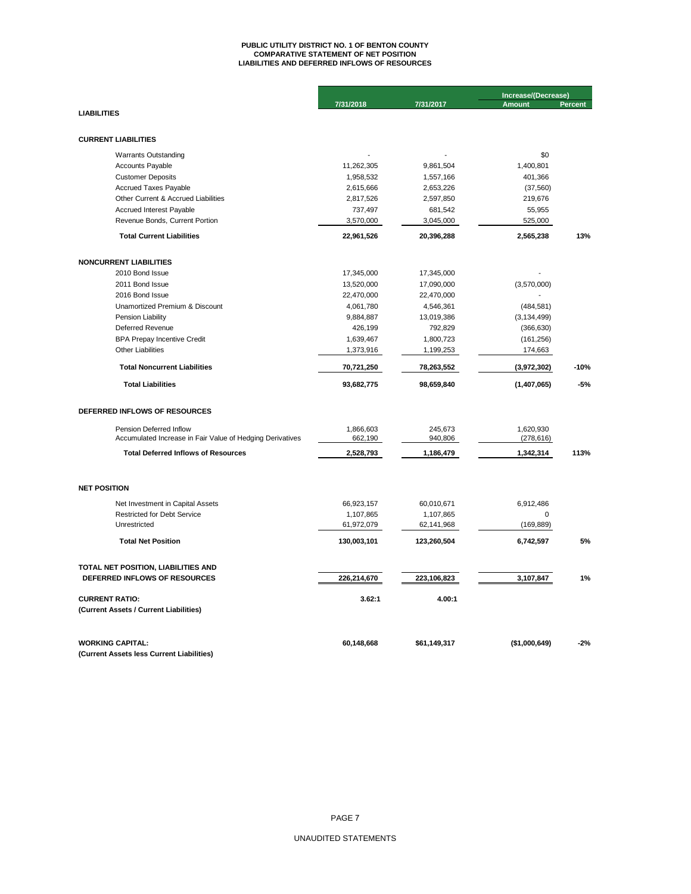# **PUBLIC UTILITY DISTRICT NO. 1 OF BENTON COUNTY COMPARATIVE STATEMENT OF NET POSITION LIABILITIES AND DEFERRED INFLOWS OF RESOURCES**

|                                                                                      |                      |                    | Increase/(Decrease)     |                |  |
|--------------------------------------------------------------------------------------|----------------------|--------------------|-------------------------|----------------|--|
| <b>LIABILITIES</b>                                                                   | 7/31/2018            | 7/31/2017          | <b>Amount</b>           | <b>Percent</b> |  |
|                                                                                      |                      |                    |                         |                |  |
|                                                                                      |                      |                    |                         |                |  |
| <b>CURRENT LIABILITIES</b>                                                           |                      |                    |                         |                |  |
| <b>Warrants Outstanding</b>                                                          |                      |                    | \$0                     |                |  |
| <b>Accounts Payable</b>                                                              | 11,262,305           | 9,861,504          | 1,400,801               |                |  |
| <b>Customer Deposits</b>                                                             | 1,958,532            | 1,557,166          | 401,366                 |                |  |
| <b>Accrued Taxes Payable</b>                                                         | 2,615,666            | 2,653,226          | (37, 560)               |                |  |
| Other Current & Accrued Liabilities                                                  | 2,817,526            | 2,597,850          | 219,676                 |                |  |
| Accrued Interest Payable                                                             | 737,497              | 681,542            | 55,955                  |                |  |
| Revenue Bonds, Current Portion                                                       | 3,570,000            | 3,045,000          | 525,000                 |                |  |
| <b>Total Current Liabilities</b>                                                     | 22,961,526           | 20,396,288         | 2,565,238               | 13%            |  |
| <b>NONCURRENT LIABILITIES</b>                                                        |                      |                    |                         |                |  |
| 2010 Bond Issue                                                                      | 17,345,000           | 17,345,000         |                         |                |  |
| 2011 Bond Issue                                                                      | 13,520,000           | 17,090,000         | (3,570,000)             |                |  |
| 2016 Bond Issue                                                                      | 22,470,000           | 22,470,000         |                         |                |  |
| Unamortized Premium & Discount                                                       | 4,061,780            | 4,546,361          | (484, 581)              |                |  |
| Pension Liability                                                                    | 9,884,887            | 13,019,386         | (3, 134, 499)           |                |  |
| Deferred Revenue                                                                     | 426,199              | 792,829            | (366, 630)              |                |  |
| <b>BPA Prepay Incentive Credit</b>                                                   | 1,639,467            | 1,800,723          | (161, 256)              |                |  |
| <b>Other Liabilities</b>                                                             | 1,373,916            | 1,199,253          | 174,663                 |                |  |
| <b>Total Noncurrent Liabilities</b>                                                  | 70,721,250           | 78,263,552         | (3,972,302)             | $-10%$         |  |
| <b>Total Liabilities</b>                                                             | 93,682,775           | 98,659,840         | (1,407,065)             | $-5%$          |  |
| DEFERRED INFLOWS OF RESOURCES                                                        |                      |                    |                         |                |  |
|                                                                                      |                      |                    |                         |                |  |
| Pension Deferred Inflow<br>Accumulated Increase in Fair Value of Hedging Derivatives | 1,866,603<br>662,190 | 245,673<br>940,806 | 1,620,930<br>(278, 616) |                |  |
| <b>Total Deferred Inflows of Resources</b>                                           | 2,528,793            | 1,186,479          | 1,342,314               | 113%           |  |
|                                                                                      |                      |                    |                         |                |  |
| <b>NET POSITION</b>                                                                  |                      |                    |                         |                |  |
| Net Investment in Capital Assets                                                     | 66,923,157           | 60,010,671         | 6,912,486               |                |  |
| <b>Restricted for Debt Service</b>                                                   | 1,107,865            | 1,107,865          | 0                       |                |  |
| Unrestricted                                                                         | 61,972,079           | 62,141,968         | (169, 889)              |                |  |
| <b>Total Net Position</b>                                                            | 130,003,101          | 123,260,504        | 6,742,597               | 5%             |  |
|                                                                                      |                      |                    |                         |                |  |
| TOTAL NET POSITION, LIABILITIES AND                                                  |                      |                    |                         |                |  |
| DEFERRED INFLOWS OF RESOURCES                                                        | 226,214,670          | 223,106,823        | 3,107,847               | 1%             |  |
| <b>CURRENT RATIO:</b>                                                                | 3.62:1               | 4.00:1             |                         |                |  |
| (Current Assets / Current Liabilities)                                               |                      |                    |                         |                |  |
| <b>WORKING CAPITAL:</b>                                                              | 60,148,668           | \$61,149,317       | (\$1,000,649)           | $-2%$          |  |
| (Current Assets less Current Liabilities)                                            |                      |                    |                         |                |  |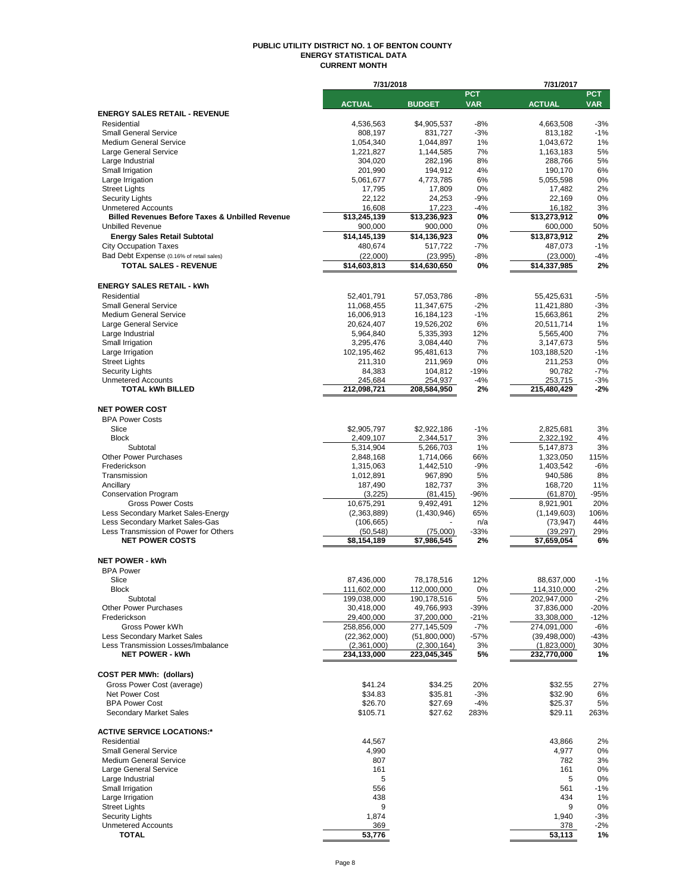#### **PUBLIC UTILITY DISTRICT NO. 1 OF BENTON COUNTY ENERGY STATISTICAL DATA CURRENT MONTH**

|                                                                 | 7/31/2018                |                         |                | 7/31/2017                |                |  |  |
|-----------------------------------------------------------------|--------------------------|-------------------------|----------------|--------------------------|----------------|--|--|
|                                                                 |                          |                         | <b>PCT</b>     |                          | <b>PCT</b>     |  |  |
|                                                                 | <b>ACTUAL</b>            | <b>BUDGET</b>           | <b>VAR</b>     | <b>ACTUAL</b>            | <b>VAR</b>     |  |  |
| <b>ENERGY SALES RETAIL - REVENUE</b>                            |                          |                         |                |                          |                |  |  |
| Residential<br><b>Small General Service</b>                     | 4,536,563<br>808,197     | \$4,905,537<br>831,727  | $-8%$<br>$-3%$ | 4,663,508<br>813,182     | $-3%$<br>$-1%$ |  |  |
| <b>Medium General Service</b>                                   | 1,054,340                | 1,044,897               | 1%             | 1,043,672                | 1%             |  |  |
| Large General Service                                           | 1,221,827                | 1,144,585               | 7%             | 1,163,183                | 5%             |  |  |
| Large Industrial                                                | 304,020                  | 282,196                 | 8%             | 288,766                  | 5%             |  |  |
| Small Irrigation                                                | 201,990                  | 194,912                 | 4%             | 190,170                  | 6%             |  |  |
| Large Irrigation                                                | 5,061,677                | 4,773,785               | 6%             | 5,055,598                | 0%             |  |  |
| <b>Street Lights</b>                                            | 17,795                   | 17,809                  | 0%             | 17,482                   | 2%             |  |  |
| <b>Security Lights</b>                                          | 22,122                   | 24,253                  | $-9%$          | 22,169                   | 0%             |  |  |
| <b>Unmetered Accounts</b>                                       | 16,608                   | 17,223                  | $-4%$          | 16,182                   | 3%             |  |  |
| <b>Billed Revenues Before Taxes &amp; Unbilled Revenue</b>      | \$13,245,139             | \$13,236,923            | 0%             | \$13,273,912             | 0%             |  |  |
| <b>Unbilled Revenue</b>                                         | 900.000                  | 900,000                 | 0%             | 600,000                  | 50%            |  |  |
| <b>Energy Sales Retail Subtotal</b>                             | \$14,145,139             | \$14,136,923            | 0%             | \$13,873,912             | 2%             |  |  |
| <b>City Occupation Taxes</b>                                    | 480,674                  | 517,722                 | -7%            | 487,073                  | $-1%$          |  |  |
| Bad Debt Expense (0.16% of retail sales)                        | (22,000)                 | (23, 995)               | $-8%$          | (23,000)                 | $-4%$          |  |  |
| <b>TOTAL SALES - REVENUE</b>                                    | \$14,603,813             | \$14,630,650            | 0%             | \$14,337,985             | 2%             |  |  |
|                                                                 |                          |                         |                |                          |                |  |  |
| <b>ENERGY SALES RETAIL - kWh</b>                                |                          |                         |                |                          |                |  |  |
| Residential                                                     | 52,401,791               | 57,053,786              | $-8%$          | 55,425,631               | $-5%$          |  |  |
| <b>Small General Service</b>                                    | 11,068,455               | 11,347,675              | $-2%$          | 11,421,880               | $-3%$          |  |  |
| <b>Medium General Service</b>                                   | 16,006,913               | 16,184,123              | $-1%$          | 15,663,861               | 2%             |  |  |
| Large General Service                                           | 20,624,407               | 19,526,202              | 6%             | 20,511,714               | 1%             |  |  |
| Large Industrial                                                | 5,964,840                | 5,335,393               | 12%            | 5,565,400                | 7%             |  |  |
| Small Irrigation                                                | 3,295,476<br>102,195,462 | 3,084,440<br>95,481,613 | 7%<br>7%       | 3,147,673                | 5%<br>$-1%$    |  |  |
| Large Irrigation<br><b>Street Lights</b>                        | 211,310                  | 211,969                 | 0%             | 103,188,520<br>211,253   | 0%             |  |  |
| <b>Security Lights</b>                                          | 84,383                   | 104,812                 | $-19%$         | 90,782                   | $-7%$          |  |  |
| <b>Unmetered Accounts</b>                                       | 245,684                  | 254,937                 | $-4%$          | 253,715                  | $-3%$          |  |  |
| <b>TOTAL kWh BILLED</b>                                         | 212,098,721              | 208,584,950             | 2%             | 215,480,429              | $-2%$          |  |  |
|                                                                 |                          |                         |                |                          |                |  |  |
| <b>NET POWER COST</b>                                           |                          |                         |                |                          |                |  |  |
| <b>BPA Power Costs</b>                                          |                          |                         |                |                          |                |  |  |
| Slice                                                           | \$2,905,797              | \$2,922,186             | $-1%$          | 2,825,681                | 3%             |  |  |
| <b>Block</b>                                                    | 2,409,107                | 2,344,517               | 3%             | 2,322,192                | 4%             |  |  |
| Subtotal                                                        | 5,314,904                | 5,266,703               | 1%             | 5,147,873                | 3%             |  |  |
| <b>Other Power Purchases</b>                                    | 2,848,168                | 1,714,066               | 66%            | 1,323,050                | 115%           |  |  |
| Frederickson                                                    | 1,315,063                | 1,442,510               | $-9%$          | 1,403,542                | $-6%$          |  |  |
| Transmission                                                    | 1,012,891                | 967,890                 | 5%             | 940,586                  | 8%             |  |  |
| Ancillary                                                       | 187,490                  | 182,737                 | 3%             | 168,720                  | 11%            |  |  |
| <b>Conservation Program</b>                                     | (3, 225)                 | (81, 415)               | $-96%$         | (61, 870)                | $-95%$         |  |  |
| <b>Gross Power Costs</b>                                        | 10,675,291               | 9,492,491               | 12%            | 8,921,901                | 20%            |  |  |
| Less Secondary Market Sales-Energy                              | (2,363,889)              | (1,430,946)             | 65%            | (1, 149, 603)            | 106%           |  |  |
| Less Secondary Market Sales-Gas                                 | (106, 665)               |                         | n/a            | (73, 947)                | 44%            |  |  |
| Less Transmission of Power for Others<br><b>NET POWER COSTS</b> | (50, 548)<br>\$8,154,189 | (75,000)<br>\$7,986,545 | $-33%$<br>2%   | (39, 297)<br>\$7,659,054 | 29%<br>6%      |  |  |
|                                                                 |                          |                         |                |                          |                |  |  |
| <b>NET POWER - kWh</b>                                          |                          |                         |                |                          |                |  |  |
| <b>BPA Power</b>                                                |                          |                         |                |                          |                |  |  |
| Slice                                                           | 87,436,000               | 78,178,516              | 12%            | 88,637,000               | $-1%$          |  |  |
| <b>Block</b>                                                    | 111,602,000              | 112,000,000             | 0%             | 114,310,000              | $-2%$          |  |  |
| Subtotal                                                        | 199,038,000              | 190,178,516             | 5%             | 202,947,000              | $-2%$          |  |  |
| <b>Other Power Purchases</b>                                    | 30,418,000               | 49,766,993              | $-39%$         | 37,836,000               | $-20%$         |  |  |
| Frederickson                                                    | 29,400,000               | 37,200,000              | $-21%$         | 33,308,000               | $-12%$         |  |  |
| Gross Power kWh                                                 | 258,856,000              | 277,145,509             | $-7%$          | 274,091,000              | $-6%$          |  |  |
| <b>Less Secondary Market Sales</b>                              | (22, 362, 000)           | (51,800,000)            | $-57%$         | (39, 498, 000)           | -43%           |  |  |
| Less Transmission Losses/Imbalance                              | (2,361,000)              | (2,300,164)             | 3%             | (1,823,000)              | 30%            |  |  |
| <b>NET POWER - kWh</b>                                          | 234,133,000              | 223,045,345             | 5%             | 232,770,000              | 1%             |  |  |
|                                                                 |                          |                         |                |                          |                |  |  |
| <b>COST PER MWh: (dollars)</b>                                  |                          |                         |                |                          |                |  |  |
| Gross Power Cost (average)                                      | \$41.24                  | \$34.25                 | 20%            | \$32.55                  | 27%            |  |  |
| Net Power Cost                                                  | \$34.83                  | \$35.81                 | $-3%$          | \$32.90                  | 6%             |  |  |
| <b>BPA Power Cost</b>                                           | \$26.70                  | \$27.69                 | $-4%$          | \$25.37                  | 5%             |  |  |
| <b>Secondary Market Sales</b>                                   | \$105.71                 | \$27.62                 | 283%           | \$29.11                  | 263%           |  |  |
|                                                                 |                          |                         |                |                          |                |  |  |
| <b>ACTIVE SERVICE LOCATIONS:*</b>                               |                          |                         |                |                          |                |  |  |
| Residential<br><b>Small General Service</b>                     | 44,567<br>4,990          |                         |                | 43,866<br>4,977          | 2%             |  |  |
| <b>Medium General Service</b>                                   | 807                      |                         |                | 782                      | 0%<br>3%       |  |  |
| Large General Service                                           | 161                      |                         |                | 161                      | 0%             |  |  |
| Large Industrial                                                | 5                        |                         |                | 5                        | 0%             |  |  |
| Small Irrigation                                                | 556                      |                         |                | 561                      | $-1%$          |  |  |
| Large Irrigation                                                | 438                      |                         |                | 434                      | 1%             |  |  |
| <b>Street Lights</b>                                            | 9                        |                         |                | 9                        | 0%             |  |  |
| <b>Security Lights</b>                                          | 1,874                    |                         |                | 1,940                    | -3%            |  |  |
| <b>Unmetered Accounts</b>                                       | 369                      |                         |                | 378                      | $-2%$          |  |  |
| TOTAL                                                           | 53,776                   |                         |                | 53,113                   | 1%             |  |  |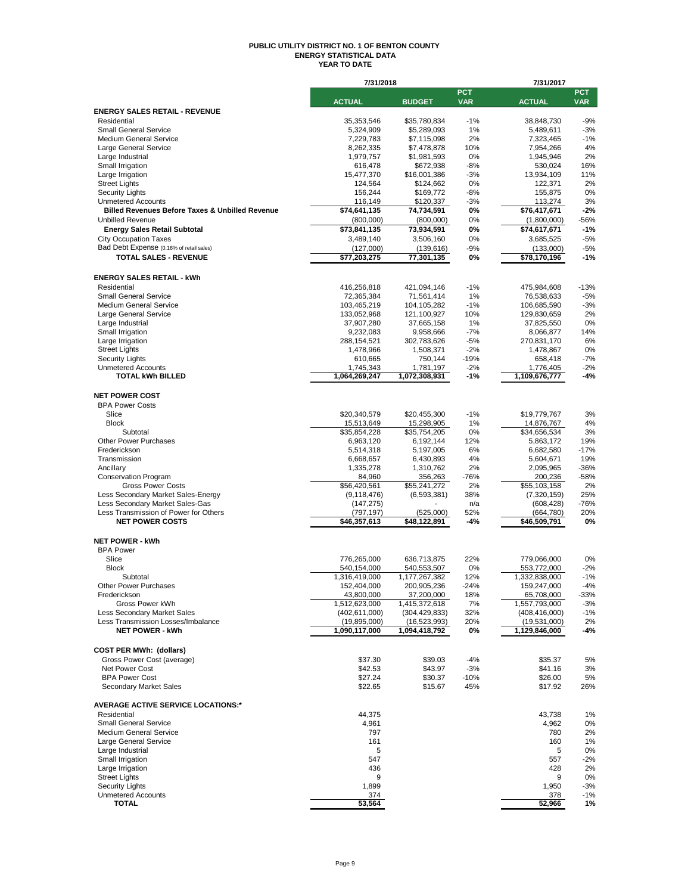#### **PUBLIC UTILITY DISTRICT NO. 1 OF BENTON COUNTY ENERGY STATISTICAL DATA YEAR TO DATE**

|                                                                 | 7/31/2018                   |                             |                          | 7/31/2017                   |                          |
|-----------------------------------------------------------------|-----------------------------|-----------------------------|--------------------------|-----------------------------|--------------------------|
|                                                                 | <b>ACTUAL</b>               | <b>BUDGET</b>               | <b>PCT</b><br><b>VAR</b> | <b>ACTUAL</b>               | <b>PCT</b><br><b>VAR</b> |
| <b>ENERGY SALES RETAIL - REVENUE</b>                            |                             |                             |                          |                             |                          |
| Residential                                                     | 35,353,546                  | \$35,780,834                | $-1%$                    | 38,848,730                  | $-9%$                    |
| <b>Small General Service</b>                                    | 5,324,909                   | \$5,289,093                 | 1%                       | 5,489,611                   | $-3%$                    |
| <b>Medium General Service</b>                                   | 7,229,783                   | \$7,115,098                 | 2%                       | 7,323,465                   | $-1%$                    |
| Large General Service                                           | 8,262,335                   | \$7,478,878                 | 10%                      | 7,954,266                   | 4%                       |
| Large Industrial                                                | 1,979,757                   | \$1,981,593                 | 0%                       | 1,945,946                   | 2%                       |
| Small Irrigation<br>Large Irrigation                            | 616,478<br>15,477,370       | \$672,938<br>\$16,001,386   | $-8%$<br>$-3%$           | 530,024<br>13,934,109       | 16%<br>11%               |
| <b>Street Lights</b>                                            | 124,564                     | \$124,662                   | 0%                       | 122,371                     | 2%                       |
| <b>Security Lights</b>                                          | 156,244                     | \$169,772                   | -8%                      | 155,875                     | 0%                       |
| <b>Unmetered Accounts</b>                                       | 116,149                     | \$120,337                   | -3%                      | 113,274                     | 3%                       |
| <b>Billed Revenues Before Taxes &amp; Unbilled Revenue</b>      | \$74,641,135                | 74,734,591                  | 0%                       | \$76,417,671                | $-2%$                    |
| <b>Unbilled Revenue</b>                                         | (800,000)                   | (800,000)                   | 0%                       | (1,800,000)                 | -56%                     |
| <b>Energy Sales Retail Subtotal</b>                             | \$73,841,135                | 73,934,591                  | 0%                       | \$74,617,671                | $-1%$                    |
| <b>City Occupation Taxes</b>                                    | 3,489,140                   | 3,506,160                   | 0%                       | 3,685,525                   | $-5%$                    |
| Bad Debt Expense (0.16% of retail sales)                        | (127,000)                   | (139, 616)                  | -9%                      | (133,000)                   | -5%                      |
| <b>TOTAL SALES - REVENUE</b>                                    | $\overline{$77,203,275}$    | 77,301,135                  | 0%                       | \$78,170,196                | $-1%$                    |
| <b>ENERGY SALES RETAIL - kWh</b>                                |                             |                             |                          |                             |                          |
| Residential                                                     | 416,256,818                 | 421,094,146                 | $-1%$                    | 475,984,608                 | $-13%$                   |
| <b>Small General Service</b>                                    | 72,365,384                  | 71,561,414                  | $1\%$                    | 76,538,633                  | $-5%$                    |
| <b>Medium General Service</b>                                   | 103,465,219                 | 104,105,282                 | $-1%$                    | 106,685,590                 | $-3%$                    |
| Large General Service                                           | 133,052,968                 | 121,100,927                 | 10%                      | 129,830,659                 | 2%                       |
| Large Industrial                                                | 37,907,280                  | 37,665,158                  | 1%                       | 37,825,550                  | 0%                       |
| Small Irrigation                                                | 9,232,083                   | 9,958,666                   | $-7%$                    | 8,066,877                   | 14%                      |
| Large Irrigation                                                | 288,154,521                 | 302,783,626                 | $-5%$                    | 270,831,170                 | 6%                       |
| <b>Street Lights</b>                                            | 1,478,966                   | 1,508,371                   | $-2%$                    | 1,478,867                   | 0%<br>$-7%$              |
| <b>Security Lights</b><br><b>Unmetered Accounts</b>             | 610,665<br>1,745,343        | 750,144<br>1,781,197        | -19%<br>$-2%$            | 658,418<br>1,776,405        | $-2%$                    |
| <b>TOTAL kWh BILLED</b>                                         | 1,064,269,247               | 1,072,308,931               | -1%                      | 1,109,676,777               | -4%                      |
|                                                                 |                             |                             |                          |                             |                          |
| <b>NET POWER COST</b>                                           |                             |                             |                          |                             |                          |
| <b>BPA Power Costs</b>                                          |                             |                             |                          |                             |                          |
| Slice                                                           | \$20,340,579                | \$20,455,300                | $-1%$                    | \$19,779,767                | 3%                       |
| <b>Block</b>                                                    | 15,513,649                  | 15,298,905                  | 1%                       | 14,876,767                  | 4%                       |
| Subtotal<br><b>Other Power Purchases</b>                        | \$35,854,228                | \$35,754,205                | 0%<br>12%                | \$34,656,534                | 3%                       |
| Frederickson                                                    | 6,963,120<br>5,514,318      | 6,192,144<br>5,197,005      | 6%                       | 5,863,172<br>6,682,580      | 19%<br>$-17%$            |
| Transmission                                                    | 6,668,657                   | 6,430,893                   | 4%                       | 5,604,671                   | 19%                      |
| Ancillary                                                       | 1,335,278                   | 1,310,762                   | 2%                       | 2,095,965                   | -36%                     |
| <b>Conservation Program</b>                                     | 84,960                      | 356,263                     | $-76%$                   | 200,236                     | -58%                     |
| <b>Gross Power Costs</b>                                        | \$56,420,561                | \$55,241,272                | 2%                       | \$55,103,158                | 2%                       |
| Less Secondary Market Sales-Energy                              | (9, 118, 476)               | (6, 593, 381)               | 38%                      | (7,320,159)                 | 25%                      |
| Less Secondary Market Sales-Gas                                 | (147, 275)                  |                             | n/a                      | (608, 428)                  | -76%                     |
| Less Transmission of Power for Others<br><b>NET POWER COSTS</b> | (797, 197)<br>\$46,357,613  | (525,000)<br>\$48,122,891   | 52%<br>-4%               | (664, 780)<br>\$46,509,791  | 20%<br>0%                |
|                                                                 |                             |                             |                          |                             |                          |
| <b>NET POWER - kWh</b>                                          |                             |                             |                          |                             |                          |
| <b>BPA Power</b>                                                |                             |                             |                          |                             |                          |
| Slice                                                           | 776,265,000                 | 636,713,875                 | 22%                      | 779,066,000                 | 0%                       |
| <b>Block</b>                                                    | 540,154,000                 | 540,553,507                 | 0%                       | 553,772,000                 | $-2%$                    |
| Subtotal                                                        | 1,316,419,000               | 1,177,267,382               | 12%                      | 1,332,838,000               | $-1%$                    |
| Other Power Purchases                                           | 152,404,000                 | 200,905,236                 | $-24%$                   | 159,247,000                 | -4%                      |
| Frederickson<br>Gross Power kWh                                 | 43,800,000<br>1,512,623,000 | 37,200,000<br>1,415,372,618 | 18%<br>7%                | 65,708,000<br>1,557,793,000 | -33%<br>$-3%$            |
| Less Secondary Market Sales                                     | (402, 611, 000)             | (304, 429, 833)             | 32%                      | (408, 416, 000)             | -1%                      |
| Less Transmission Losses/Imbalance                              | (19, 895, 000)              | (16, 523, 993)              | 20%                      | (19,531,000)                | 2%                       |
| <b>NET POWER - kWh</b>                                          | 1,090,117,000               | 1,094,418,792               | 0%                       | 1,129,846,000               | -4%                      |
|                                                                 |                             |                             |                          |                             |                          |
| <b>COST PER MWh: (dollars)</b>                                  |                             |                             |                          |                             |                          |
| Gross Power Cost (average)                                      | \$37.30                     | \$39.03                     | -4%                      | \$35.37                     | 5%                       |
| Net Power Cost                                                  | \$42.53                     | \$43.97                     | $-3%$                    | \$41.16                     | 3%                       |
| <b>BPA Power Cost</b><br>Secondary Market Sales                 | \$27.24<br>\$22.65          | \$30.37<br>\$15.67          | $-10%$<br>45%            | \$26.00<br>\$17.92          | 5%<br>26%                |
|                                                                 |                             |                             |                          |                             |                          |
| <b>AVERAGE ACTIVE SERVICE LOCATIONS:*</b>                       |                             |                             |                          |                             |                          |
| Residential                                                     | 44,375                      |                             |                          | 43.738                      | 1%                       |
| <b>Small General Service</b>                                    | 4,961                       |                             |                          | 4,962                       | 0%                       |
| <b>Medium General Service</b>                                   | 797                         |                             |                          | 780                         | 2%                       |
| Large General Service                                           | 161                         |                             |                          | 160                         | 1%                       |
| Large Industrial                                                | 5                           |                             |                          | 5                           | 0%                       |
| Small Irrigation                                                | 547                         |                             |                          | 557                         | -2%                      |
| Large Irrigation<br><b>Street Lights</b>                        | 436<br>9                    |                             |                          | 428<br>9                    | 2%<br>0%                 |
| <b>Security Lights</b>                                          | 1,899                       |                             |                          | 1,950                       | -3%                      |
| <b>Unmetered Accounts</b>                                       | 374                         |                             |                          | 378                         | -1%                      |
| <b>TOTAL</b>                                                    | 53,564                      |                             |                          | 52,966                      | 1%                       |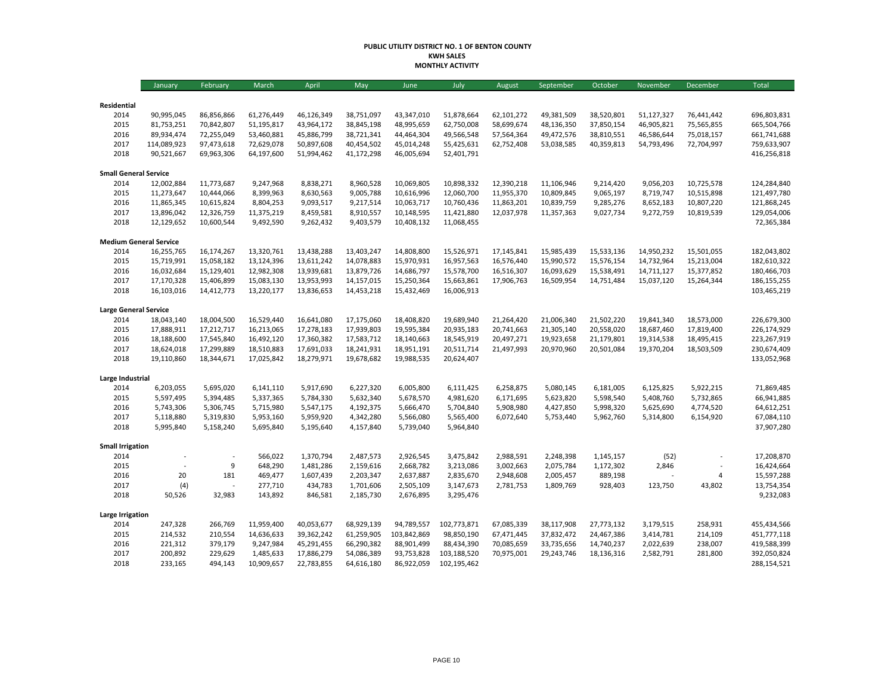#### **PUBLIC UTILITY DISTRICT NO. 1 OF BENTON COUNTY KWH SALES MONTHLY ACTIVITY**

|                               | January     | February   | March      | April      | May        | June        | July        | August     | September  | October    | November   | December       | <b>Total</b>  |
|-------------------------------|-------------|------------|------------|------------|------------|-------------|-------------|------------|------------|------------|------------|----------------|---------------|
|                               |             |            |            |            |            |             |             |            |            |            |            |                |               |
| Residential<br>2014           | 90,995,045  | 86,856,866 | 61,276,449 | 46,126,349 | 38,751,097 | 43,347,010  | 51,878,664  | 62,101,272 | 49,381,509 | 38,520,801 | 51,127,327 | 76,441,442     | 696,803,831   |
| 2015                          | 81,753,251  | 70,842,807 | 51,195,817 | 43,964,172 | 38,845,198 | 48,995,659  | 62,750,008  | 58,699,674 | 48,136,350 | 37,850,154 | 46,905,821 | 75,565,855     | 665,504,766   |
| 2016                          | 89,934,474  | 72,255,049 | 53,460,881 | 45,886,799 | 38,721,341 | 44,464,304  | 49,566,548  | 57,564,364 | 49,472,576 | 38,810,551 | 46,586,644 | 75,018,157     | 661,741,688   |
| 2017                          | 114,089,923 | 97,473,618 | 72,629,078 | 50,897,608 | 40,454,502 | 45,014,248  | 55,425,631  | 62,752,408 | 53,038,585 | 40,359,813 | 54,793,496 | 72,704,997     | 759,633,907   |
| 2018                          | 90,521,667  | 69,963,306 | 64,197,600 | 51,994,462 | 41,172,298 | 46,005,694  | 52,401,791  |            |            |            |            |                | 416,256,818   |
| <b>Small General Service</b>  |             |            |            |            |            |             |             |            |            |            |            |                |               |
| 2014                          | 12,002,884  | 11,773,687 | 9,247,968  | 8,838,271  | 8,960,528  | 10,069,805  | 10,898,332  | 12,390,218 | 11,106,946 | 9,214,420  | 9,056,203  | 10,725,578     | 124,284,840   |
| 2015                          | 11,273,647  | 10,444,066 | 8,399,963  | 8,630,563  | 9,005,788  | 10,616,996  | 12,060,700  | 11,955,370 | 10,809,845 | 9,065,197  | 8,719,747  | 10,515,898     | 121,497,780   |
| 2016                          | 11,865,345  | 10,615,824 | 8,804,253  | 9,093,517  | 9,217,514  | 10,063,717  | 10,760,436  | 11,863,201 | 10,839,759 | 9,285,276  | 8,652,183  | 10,807,220     | 121,868,245   |
| 2017                          | 13,896,042  | 12,326,759 | 11,375,219 | 8,459,581  | 8,910,557  | 10,148,595  | 11,421,880  | 12,037,978 | 11,357,363 | 9,027,734  | 9,272,759  | 10,819,539     | 129,054,006   |
| 2018                          | 12,129,652  | 10,600,544 | 9,492,590  | 9,262,432  | 9,403,579  | 10,408,132  | 11,068,455  |            |            |            |            |                | 72,365,384    |
| <b>Medium General Service</b> |             |            |            |            |            |             |             |            |            |            |            |                |               |
| 2014                          | 16,255,765  | 16,174,267 | 13,320,761 | 13,438,288 | 13,403,247 | 14,808,800  | 15,526,971  | 17,145,841 | 15,985,439 | 15,533,136 | 14,950,232 | 15,501,055     | 182,043,802   |
| 2015                          | 15,719,991  | 15,058,182 | 13,124,396 | 13,611,242 | 14,078,883 | 15,970,931  | 16,957,563  | 16,576,440 | 15,990,572 | 15,576,154 | 14,732,964 | 15,213,004     | 182,610,322   |
| 2016                          | 16,032,684  | 15,129,401 | 12,982,308 | 13,939,681 | 13,879,726 | 14,686,797  | 15,578,700  | 16,516,307 | 16,093,629 | 15,538,491 | 14,711,127 | 15,377,852     | 180,466,703   |
| 2017                          | 17,170,328  | 15,406,899 | 15,083,130 | 13,953,993 | 14,157,015 | 15,250,364  | 15,663,861  | 17,906,763 | 16,509,954 | 14,751,484 | 15,037,120 | 15,264,344     | 186, 155, 255 |
| 2018                          | 16,103,016  | 14,412,773 | 13,220,177 | 13,836,653 | 14,453,218 | 15,432,469  | 16,006,913  |            |            |            |            |                | 103,465,219   |
| <b>Large General Service</b>  |             |            |            |            |            |             |             |            |            |            |            |                |               |
| 2014                          | 18,043,140  | 18,004,500 | 16,529,440 | 16,641,080 | 17,175,060 | 18,408,820  | 19,689,940  | 21,264,420 | 21,006,340 | 21,502,220 | 19,841,340 | 18,573,000     | 226,679,300   |
| 2015                          | 17,888,911  | 17,212,717 | 16,213,065 | 17,278,183 | 17,939,803 | 19,595,384  | 20,935,183  | 20,741,663 | 21,305,140 | 20,558,020 | 18,687,460 | 17,819,400     | 226,174,929   |
| 2016                          | 18,188,600  | 17,545,840 | 16,492,120 | 17,360,382 | 17,583,712 | 18,140,663  | 18,545,919  | 20,497,271 | 19,923,658 | 21,179,801 | 19,314,538 | 18,495,415     | 223,267,919   |
| 2017                          | 18,624,018  | 17,299,889 | 18,510,883 | 17,691,033 | 18,241,931 | 18,951,191  | 20,511,714  | 21,497,993 | 20,970,960 | 20,501,084 | 19,370,204 | 18,503,509     | 230,674,409   |
| 2018                          | 19,110,860  | 18,344,671 | 17,025,842 | 18,279,971 | 19,678,682 | 19,988,535  | 20,624,407  |            |            |            |            |                | 133,052,968   |
| Large Industrial              |             |            |            |            |            |             |             |            |            |            |            |                |               |
| 2014                          | 6,203,055   | 5,695,020  | 6,141,110  | 5,917,690  | 6,227,320  | 6,005,800   | 6,111,425   | 6,258,875  | 5,080,145  | 6,181,005  | 6,125,825  | 5,922,215      | 71,869,485    |
| 2015                          | 5,597,495   | 5,394,485  | 5,337,365  | 5,784,330  | 5,632,340  | 5,678,570   | 4,981,620   | 6,171,695  | 5,623,820  | 5,598,540  | 5,408,760  | 5,732,865      | 66,941,885    |
| 2016                          | 5,743,306   | 5,306,745  | 5,715,980  | 5,547,175  | 4,192,375  | 5,666,470   | 5,704,840   | 5,908,980  | 4,427,850  | 5,998,320  | 5,625,690  | 4,774,520      | 64,612,251    |
| 2017                          | 5,118,880   | 5,319,830  | 5,953,160  | 5,959,920  | 4,342,280  | 5,566,080   | 5,565,400   | 6,072,640  | 5,753,440  | 5,962,760  | 5,314,800  | 6,154,920      | 67,084,110    |
| 2018                          | 5,995,840   | 5,158,240  | 5,695,840  | 5,195,640  | 4,157,840  | 5,739,040   | 5,964,840   |            |            |            |            |                | 37,907,280    |
| <b>Small Irrigation</b>       |             |            |            |            |            |             |             |            |            |            |            |                |               |
| 2014                          |             |            | 566,022    | 1,370,794  | 2,487,573  | 2,926,545   | 3,475,842   | 2,988,591  | 2,248,398  | 1,145,157  | (52)       |                | 17,208,870    |
| 2015                          |             | 9          | 648,290    | 1,481,286  | 2,159,616  | 2,668,782   | 3,213,086   | 3,002,663  | 2,075,784  | 1,172,302  | 2,846      |                | 16,424,664    |
| 2016                          | 20          | 181        | 469,477    | 1,607,439  | 2,203,347  | 2,637,887   | 2,835,670   | 2,948,608  | 2,005,457  | 889,198    |            | $\overline{4}$ | 15,597,288    |
| 2017                          | (4)         |            | 277,710    | 434,783    | 1,701,606  | 2,505,109   | 3,147,673   | 2,781,753  | 1,809,769  | 928,403    | 123,750    | 43,802         | 13,754,354    |
| 2018                          | 50,526      | 32,983     | 143,892    | 846,581    | 2,185,730  | 2,676,895   | 3,295,476   |            |            |            |            |                | 9,232,083     |
| Large Irrigation              |             |            |            |            |            |             |             |            |            |            |            |                |               |
| 2014                          | 247,328     | 266,769    | 11,959,400 | 40,053,677 | 68,929,139 | 94,789,557  | 102,773,871 | 67,085,339 | 38,117,908 | 27,773,132 | 3,179,515  | 258,931        | 455,434,566   |
| 2015                          | 214,532     | 210,554    | 14,636,633 | 39,362,242 | 61,259,905 | 103,842,869 | 98,850,190  | 67,471,445 | 37,832,472 | 24,467,386 | 3,414,781  | 214,109        | 451,777,118   |
| 2016                          | 221,312     | 379,179    | 9,247,984  | 45,291,455 | 66,290,382 | 88,901,499  | 88,434,390  | 70,085,659 | 33,735,656 | 14,740,237 | 2,022,639  | 238,007        | 419,588,399   |
| 2017                          | 200,892     | 229,629    | 1,485,633  | 17,886,279 | 54,086,389 | 93,753,828  | 103,188,520 | 70,975,001 | 29,243,746 | 18,136,316 | 2,582,791  | 281,800        | 392,050,824   |
| 2018                          | 233,165     | 494,143    | 10,909,657 | 22,783,855 | 64,616,180 | 86,922,059  | 102,195,462 |            |            |            |            |                | 288,154,521   |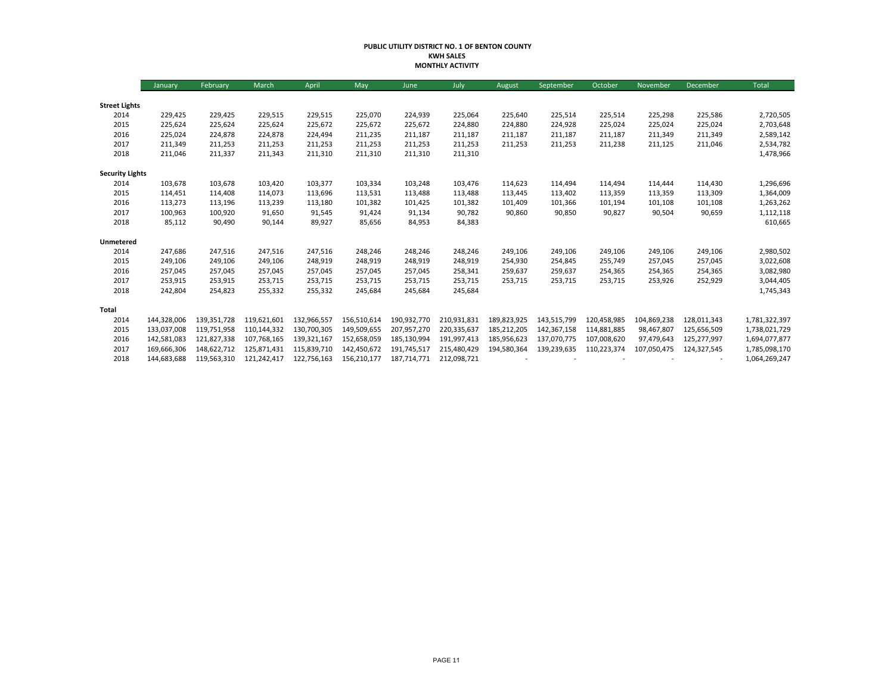#### **PUBLIC UTILITY DISTRICT NO. 1 OF BENTON COUNTY KWH SALES MONTHLY ACTIVITY**

|                        | January     | February    | March       | April       | May         | June        | July        | August      | September   | October     | November    | December    | Total         |
|------------------------|-------------|-------------|-------------|-------------|-------------|-------------|-------------|-------------|-------------|-------------|-------------|-------------|---------------|
|                        |             |             |             |             |             |             |             |             |             |             |             |             |               |
| <b>Street Lights</b>   |             |             |             |             |             |             |             |             |             |             |             |             |               |
| 2014                   | 229,425     | 229,425     | 229,515     | 229,515     | 225,070     | 224,939     | 225,064     | 225,640     | 225,514     | 225,514     | 225,298     | 225,586     | 2,720,505     |
| 2015                   | 225,624     | 225,624     | 225,624     | 225,672     | 225,672     | 225,672     | 224,880     | 224,880     | 224,928     | 225,024     | 225,024     | 225,024     | 2,703,648     |
| 2016                   | 225,024     | 224,878     | 224,878     | 224,494     | 211,235     | 211,187     | 211,187     | 211,187     | 211,187     | 211,187     | 211,349     | 211,349     | 2,589,142     |
| 2017                   | 211,349     | 211,253     | 211,253     | 211,253     | 211,253     | 211,253     | 211,253     | 211,253     | 211,253     | 211,238     | 211,125     | 211,046     | 2,534,782     |
| 2018                   | 211,046     | 211,337     | 211,343     | 211,310     | 211,310     | 211,310     | 211,310     |             |             |             |             |             | 1,478,966     |
| <b>Security Lights</b> |             |             |             |             |             |             |             |             |             |             |             |             |               |
| 2014                   | 103,678     | 103,678     | 103,420     | 103,377     | 103,334     | 103,248     | 103,476     | 114,623     | 114,494     | 114,494     | 114,444     | 114,430     | 1,296,696     |
| 2015                   | 114,451     | 114,408     | 114,073     | 113,696     | 113,531     | 113,488     | 113,488     | 113,445     | 113,402     | 113,359     | 113,359     | 113,309     | 1,364,009     |
| 2016                   | 113,273     | 113,196     | 113,239     | 113,180     | 101,382     | 101,425     | 101,382     | 101,409     | 101,366     | 101,194     | 101,108     | 101,108     | 1,263,262     |
| 2017                   | 100,963     | 100,920     | 91,650      | 91,545      | 91,424      | 91,134      | 90,782      | 90,860      | 90,850      | 90,827      | 90,504      | 90,659      | 1,112,118     |
| 2018                   | 85,112      | 90,490      | 90,144      | 89,927      | 85,656      | 84,953      | 84,383      |             |             |             |             |             | 610,665       |
| Unmetered              |             |             |             |             |             |             |             |             |             |             |             |             |               |
| 2014                   | 247,686     | 247,516     | 247,516     | 247,516     | 248,246     | 248,246     | 248,246     | 249,106     | 249,106     | 249,106     | 249,106     | 249,106     | 2,980,502     |
| 2015                   | 249,106     | 249,106     | 249,106     | 248,919     | 248,919     | 248,919     | 248,919     | 254,930     | 254,845     | 255,749     | 257,045     | 257,045     | 3,022,608     |
| 2016                   | 257,045     | 257,045     | 257,045     | 257,045     | 257,045     | 257,045     | 258,341     | 259,637     | 259,637     | 254,365     | 254,365     | 254,365     | 3,082,980     |
| 2017                   | 253,915     | 253,915     | 253,715     | 253,715     | 253,715     | 253,715     | 253,715     | 253,715     | 253,715     | 253,715     | 253,926     | 252,929     | 3,044,405     |
| 2018                   | 242,804     | 254,823     | 255,332     | 255,332     | 245,684     | 245,684     | 245,684     |             |             |             |             |             | 1,745,343     |
| Total                  |             |             |             |             |             |             |             |             |             |             |             |             |               |
| 2014                   | 144,328,006 | 139,351,728 | 119,621,601 | 132,966,557 | 156,510,614 | 190,932,770 | 210,931,831 | 189,823,925 | 143,515,799 | 120,458,985 | 104,869,238 | 128,011,343 | 1,781,322,397 |
| 2015                   | 133,037,008 | 119,751,958 | 110,144,332 | 130,700,305 | 149,509,655 | 207,957,270 | 220,335,637 | 185,212,205 | 142,367,158 | 114,881,885 | 98,467,807  | 125,656,509 | 1,738,021,729 |
| 2016                   | 142,581,083 | 121,827,338 | 107,768,165 | 139,321,167 | 152,658,059 | 185,130,994 | 191,997,413 | 185,956,623 | 137,070,775 | 107,008,620 | 97,479,643  | 125,277,997 | 1,694,077,877 |
| 2017                   | 169,666,306 | 148,622,712 | 125,871,431 | 115.839.710 | 142,450,672 | 191.745.517 | 215,480,429 | 194,580,364 | 139,239,635 | 110,223,374 | 107,050,475 | 124,327,545 | 1,785,098,170 |
| 2018                   | 144,683,688 | 119,563,310 | 121,242,417 | 122,756,163 | 156,210,177 | 187,714,771 | 212,098,721 |             |             |             |             |             | 1,064,269,247 |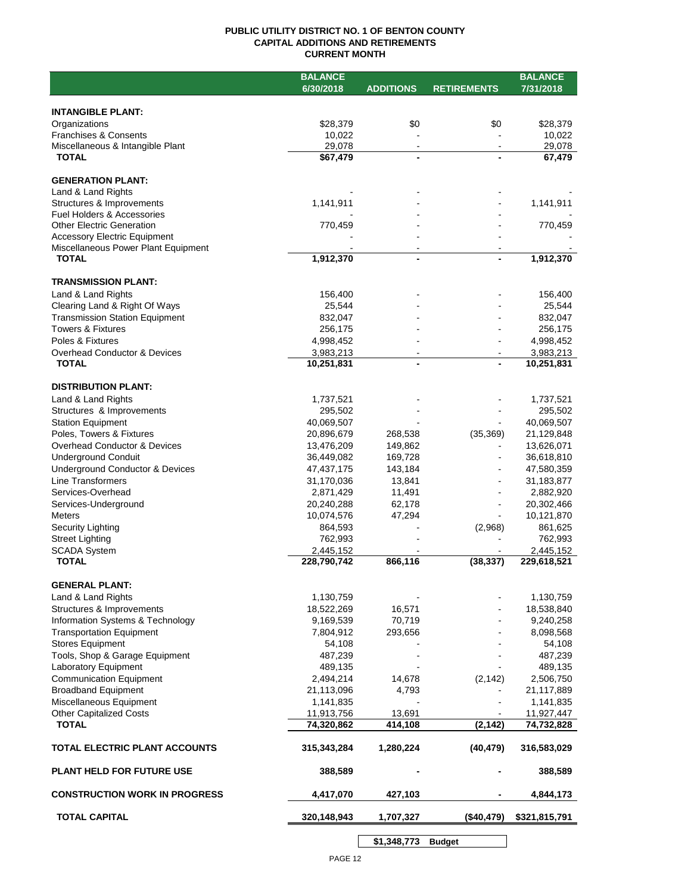## **PUBLIC UTILITY DISTRICT NO. 1 OF BENTON COUNTY CAPITAL ADDITIONS AND RETIREMENTS CURRENT MONTH**

|                                                                      | 6/30/2018                | <b>ADDITIONS</b>  | <b>RETIREMENTS</b> | 7/31/2018                |
|----------------------------------------------------------------------|--------------------------|-------------------|--------------------|--------------------------|
|                                                                      |                          |                   |                    |                          |
|                                                                      |                          |                   |                    |                          |
| <b>INTANGIBLE PLANT:</b>                                             |                          |                   |                    |                          |
| Organizations                                                        | \$28,379                 | \$0               | \$0                | \$28,379                 |
| <b>Franchises &amp; Consents</b><br>Miscellaneous & Intangible Plant | 10,022<br>29,078         | $\blacksquare$    |                    | 10,022<br>29,078         |
| <b>TOTAL</b>                                                         | \$67,479                 | $\blacksquare$    |                    | 67,479                   |
|                                                                      |                          |                   |                    |                          |
| <b>GENERATION PLANT:</b>                                             |                          |                   |                    |                          |
| Land & Land Rights                                                   |                          |                   |                    |                          |
| Structures & Improvements                                            | 1,141,911                |                   |                    | 1,141,911                |
| <b>Fuel Holders &amp; Accessories</b>                                |                          |                   |                    |                          |
| <b>Other Electric Generation</b>                                     | 770,459                  |                   |                    | 770,459                  |
| <b>Accessory Electric Equipment</b>                                  |                          |                   |                    |                          |
| Miscellaneous Power Plant Equipment<br><b>TOTAL</b>                  | 1,912,370                | $\blacksquare$    |                    | 1,912,370                |
|                                                                      |                          |                   |                    |                          |
| <b>TRANSMISSION PLANT:</b>                                           |                          |                   |                    |                          |
| Land & Land Rights                                                   | 156,400                  |                   |                    | 156,400                  |
| Clearing Land & Right Of Ways                                        | 25,544                   |                   |                    | 25,544                   |
| <b>Transmission Station Equipment</b>                                | 832,047                  |                   |                    | 832,047                  |
| <b>Towers &amp; Fixtures</b>                                         | 256,175                  |                   |                    | 256,175                  |
| Poles & Fixtures                                                     | 4,998,452                |                   |                    | 4,998,452                |
| Overhead Conductor & Devices                                         | 3,983,213                |                   |                    | 3,983,213                |
| <b>TOTAL</b>                                                         | 10,251,831               |                   |                    | 10,251,831               |
|                                                                      |                          |                   |                    |                          |
| <b>DISTRIBUTION PLANT:</b>                                           |                          |                   |                    |                          |
| Land & Land Rights                                                   | 1,737,521                |                   |                    | 1,737,521                |
| Structures & Improvements                                            | 295,502                  |                   |                    | 295,502                  |
| <b>Station Equipment</b>                                             | 40,069,507               |                   |                    | 40,069,507               |
| Poles, Towers & Fixtures                                             | 20,896,679               | 268,538           | (35, 369)          | 21,129,848               |
| Overhead Conductor & Devices                                         | 13,476,209               | 149,862           |                    | 13,626,071               |
| <b>Underground Conduit</b>                                           | 36,449,082               | 169,728           |                    | 36,618,810               |
| Underground Conductor & Devices<br><b>Line Transformers</b>          | 47,437,175<br>31,170,036 | 143,184<br>13,841 |                    | 47,580,359<br>31,183,877 |
| Services-Overhead                                                    | 2,871,429                | 11,491            |                    | 2,882,920                |
| Services-Underground                                                 | 20,240,288               | 62,178            |                    | 20,302,466               |
| <b>Meters</b>                                                        | 10,074,576               | 47,294            |                    | 10,121,870               |
| Security Lighting                                                    | 864,593                  |                   | (2,968)            | 861,625                  |
| <b>Street Lighting</b>                                               | 762,993                  |                   |                    | 762,993                  |
| <b>SCADA System</b>                                                  | 2,445,152                |                   |                    | 2,445,152                |
| <b>TOTAL</b>                                                         | 228,790,742              | 866,116           | (38, 337)          | 229,618,521              |
|                                                                      |                          |                   |                    |                          |
| <b>GENERAL PLANT:</b>                                                |                          |                   |                    |                          |
| Land & Land Rights                                                   | 1,130,759                |                   |                    | 1,130,759                |
| Structures & Improvements                                            | 18,522,269               | 16,571            |                    | 18,538,840               |
| Information Systems & Technology                                     | 9,169,539                | 70,719            |                    | 9,240,258                |
| <b>Transportation Equipment</b>                                      | 7,804,912                | 293,656           |                    | 8,098,568                |
| <b>Stores Equipment</b>                                              | 54,108                   |                   |                    | 54,108                   |
| Tools, Shop & Garage Equipment<br>Laboratory Equipment               | 487,239<br>489,135       |                   |                    | 487,239<br>489,135       |
| <b>Communication Equipment</b>                                       |                          | 14,678            |                    | 2,506,750                |
| <b>Broadband Equipment</b>                                           | 2,494,214<br>21,113,096  | 4,793             | (2, 142)           | 21,117,889               |
| Miscellaneous Equipment                                              | 1,141,835                |                   |                    | 1,141,835                |
| <b>Other Capitalized Costs</b>                                       | 11,913,756               | 13,691            |                    | 11,927,447               |
| <b>TOTAL</b>                                                         | 74,320,862               | 414,108           | (2, 142)           | 74,732,828               |
|                                                                      |                          |                   |                    |                          |
| TOTAL ELECTRIC PLANT ACCOUNTS                                        | 315, 343, 284            | 1,280,224         | (40, 479)          | 316,583,029              |
| <b>PLANT HELD FOR FUTURE USE</b>                                     | 388,589                  |                   |                    | 388,589                  |
| <b>CONSTRUCTION WORK IN PROGRESS</b>                                 | 4,417,070                | 427,103           |                    | 4,844,173                |
|                                                                      |                          |                   |                    |                          |
| <b>TOTAL CAPITAL</b>                                                 | 320,148,943              | 1,707,327         | (\$40,479)         | \$321,815,791            |

**\$1,348,773 Budget**

 $\mathsf{l}$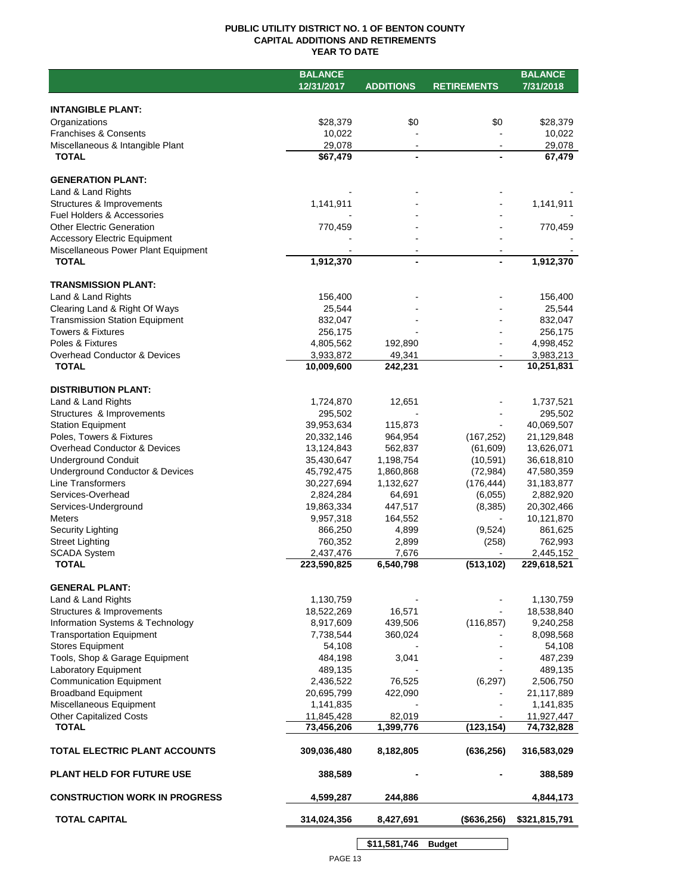## **PUBLIC UTILITY DISTRICT NO. 1 OF BENTON COUNTY CAPITAL ADDITIONS AND RETIREMENTS YEAR TO DATE**

|                                       | <b>BALANCE</b> |                  |                    | <b>BALANCE</b> |
|---------------------------------------|----------------|------------------|--------------------|----------------|
|                                       | 12/31/2017     | <b>ADDITIONS</b> | <b>RETIREMENTS</b> | 7/31/2018      |
|                                       |                |                  |                    |                |
| <b>INTANGIBLE PLANT:</b>              |                |                  |                    |                |
| Organizations                         | \$28,379       | \$0              | \$0                | \$28,379       |
| <b>Franchises &amp; Consents</b>      | 10,022         |                  |                    | 10,022         |
| Miscellaneous & Intangible Plant      | 29,078         | $\blacksquare$   |                    | 29,078         |
| <b>TOTAL</b>                          | \$67,479       | $\blacksquare$   |                    | 67,479         |
|                                       |                |                  |                    |                |
| <b>GENERATION PLANT:</b>              |                |                  |                    |                |
| Land & Land Rights                    |                |                  |                    |                |
| Structures & Improvements             | 1,141,911      |                  |                    | 1,141,911      |
| <b>Fuel Holders &amp; Accessories</b> |                |                  |                    |                |
| <b>Other Electric Generation</b>      | 770,459        |                  |                    | 770,459        |
| <b>Accessory Electric Equipment</b>   |                |                  |                    |                |
| Miscellaneous Power Plant Equipment   |                |                  |                    |                |
| <b>TOTAL</b>                          | 1,912,370      | $\blacksquare$   |                    | 1,912,370      |
|                                       |                |                  |                    |                |
| <b>TRANSMISSION PLANT:</b>            |                |                  |                    |                |
| Land & Land Rights                    | 156,400        |                  |                    | 156,400        |
| Clearing Land & Right Of Ways         | 25,544         |                  |                    | 25,544         |
| <b>Transmission Station Equipment</b> | 832,047        |                  |                    | 832,047        |
| <b>Towers &amp; Fixtures</b>          | 256,175        |                  |                    | 256,175        |
| Poles & Fixtures                      | 4,805,562      | 192,890          |                    | 4,998,452      |
| Overhead Conductor & Devices          | 3,933,872      | 49,341           |                    | 3,983,213      |
| <b>TOTAL</b>                          | 10,009,600     | 242,231          |                    | 10,251,831     |
|                                       |                |                  |                    |                |
| <b>DISTRIBUTION PLANT:</b>            |                |                  |                    |                |
| Land & Land Rights                    | 1,724,870      | 12,651           |                    | 1,737,521      |
| Structures & Improvements             | 295,502        |                  |                    | 295,502        |
| <b>Station Equipment</b>              | 39,953,634     | 115,873          |                    | 40,069,507     |
| Poles, Towers & Fixtures              | 20,332,146     | 964,954          | (167, 252)         | 21,129,848     |
| Overhead Conductor & Devices          | 13,124,843     | 562,837          | (61,609)           | 13,626,071     |
| <b>Underground Conduit</b>            | 35,430,647     | 1,198,754        | (10, 591)          | 36,618,810     |
| Underground Conductor & Devices       | 45,792,475     | 1,860,868        | (72, 984)          | 47,580,359     |
| Line Transformers                     |                |                  |                    |                |
|                                       | 30,227,694     | 1,132,627        | (176, 444)         | 31,183,877     |
| Services-Overhead                     | 2,824,284      | 64,691           | (6,055)            | 2,882,920      |
| Services-Underground                  | 19,863,334     | 447,517          | (8,385)            | 20,302,466     |
| <b>Meters</b>                         | 9,957,318      | 164,552          | $\sim$             | 10,121,870     |
| Security Lighting                     | 866,250        | 4,899            | (9,524)            | 861,625        |
| <b>Street Lighting</b>                | 760,352        | 2,899            | (258)              | 762,993        |
| <b>SCADA System</b>                   | 2,437,476      | 7,676            |                    | 2,445,152      |
| <b>TOTAL</b>                          | 223,590,825    | 6,540,798        | (513, 102)         | 229,618,521    |
|                                       |                |                  |                    |                |
| <b>GENERAL PLANT:</b>                 |                |                  |                    |                |
| Land & Land Rights                    | 1,130,759      |                  |                    | 1,130,759      |
| Structures & Improvements             | 18,522,269     | 16,571           |                    | 18,538,840     |
| Information Systems & Technology      | 8,917,609      | 439,506          | (116, 857)         | 9,240,258      |
| <b>Transportation Equipment</b>       | 7,738,544      | 360,024          |                    | 8,098,568      |
| <b>Stores Equipment</b>               | 54,108         |                  |                    | 54,108         |
| Tools, Shop & Garage Equipment        | 484,198        | 3,041            |                    | 487,239        |
| Laboratory Equipment                  | 489,135        |                  |                    | 489,135        |
| <b>Communication Equipment</b>        | 2,436,522      | 76,525           | (6, 297)           | 2,506,750      |
| <b>Broadband Equipment</b>            | 20,695,799     | 422,090          |                    | 21,117,889     |
| Miscellaneous Equipment               | 1,141,835      |                  |                    | 1,141,835      |
| <b>Other Capitalized Costs</b>        | 11,845,428     | 82,019           |                    | 11,927,447     |
| <b>TOTAL</b>                          | 73,456,206     | 1,399,776        | (123, 154)         | 74,732,828     |
|                                       |                |                  |                    |                |
| TOTAL ELECTRIC PLANT ACCOUNTS         | 309,036,480    | 8,182,805        | (636, 256)         | 316,583,029    |
|                                       |                |                  |                    |                |
| <b>PLANT HELD FOR FUTURE USE</b>      | 388,589        |                  |                    | 388,589        |
|                                       |                |                  |                    |                |
| <b>CONSTRUCTION WORK IN PROGRESS</b>  | 4,599,287      | 244,886          |                    | 4,844,173      |
|                                       |                |                  |                    |                |
| <b>TOTAL CAPITAL</b>                  | 314,024,356    | 8,427,691        | (\$636, 256)       | \$321,815,791  |
|                                       |                |                  |                    |                |

**\$11,581,746 Budget**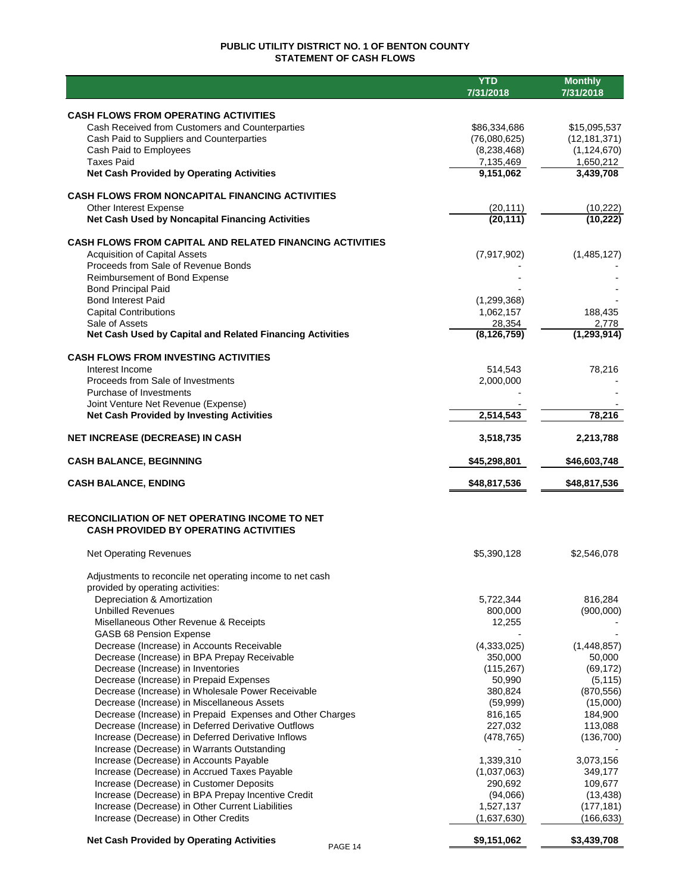## **PUBLIC UTILITY DISTRICT NO. 1 OF BENTON COUNTY STATEMENT OF CASH FLOWS**

|                                                                                                        | <b>YTD</b><br>7/31/2018    | <b>Monthly</b>             |
|--------------------------------------------------------------------------------------------------------|----------------------------|----------------------------|
|                                                                                                        |                            | 7/31/2018                  |
| <b>CASH FLOWS FROM OPERATING ACTIVITIES</b>                                                            |                            |                            |
| Cash Received from Customers and Counterparties                                                        | \$86,334,686               | \$15,095,537               |
| Cash Paid to Suppliers and Counterparties                                                              | (76,080,625)               | (12, 181, 371)             |
| Cash Paid to Employees<br><b>Taxes Paid</b>                                                            | (8, 238, 468)<br>7,135,469 | (1, 124, 670)<br>1,650,212 |
| <b>Net Cash Provided by Operating Activities</b>                                                       | 9,151,062                  | 3,439,708                  |
|                                                                                                        |                            |                            |
| <b>CASH FLOWS FROM NONCAPITAL FINANCING ACTIVITIES</b>                                                 |                            |                            |
| Other Interest Expense                                                                                 | (20, 111)                  | (10, 222)                  |
| Net Cash Used by Noncapital Financing Activities                                                       | (20, 111)                  | (10, 222)                  |
| <b>CASH FLOWS FROM CAPITAL AND RELATED FINANCING ACTIVITIES</b>                                        |                            |                            |
| <b>Acquisition of Capital Assets</b>                                                                   | (7,917,902)                | (1,485,127)                |
| Proceeds from Sale of Revenue Bonds                                                                    |                            |                            |
| Reimbursement of Bond Expense                                                                          |                            |                            |
| <b>Bond Principal Paid</b><br><b>Bond Interest Paid</b>                                                | (1, 299, 368)              |                            |
| <b>Capital Contributions</b>                                                                           | 1,062,157                  | 188,435                    |
| Sale of Assets                                                                                         | 28,354                     | 2,778                      |
| Net Cash Used by Capital and Related Financing Activities                                              | (8, 126, 759)              | (1, 293, 914)              |
| <b>CASH FLOWS FROM INVESTING ACTIVITIES</b>                                                            |                            |                            |
| Interest Income                                                                                        | 514,543                    | 78,216                     |
| Proceeds from Sale of Investments                                                                      | 2,000,000                  |                            |
| Purchase of Investments                                                                                |                            |                            |
| Joint Venture Net Revenue (Expense)                                                                    |                            |                            |
| <b>Net Cash Provided by Investing Activities</b>                                                       | 2,514,543                  | 78,216                     |
| <b>NET INCREASE (DECREASE) IN CASH</b>                                                                 | 3,518,735                  | 2,213,788                  |
| <b>CASH BALANCE, BEGINNING</b>                                                                         | \$45,298,801               | \$46,603,748               |
| <b>CASH BALANCE, ENDING</b>                                                                            | \$48,817,536               | \$48,817,536               |
| RECONCILIATION OF NET OPERATING INCOME TO NET                                                          |                            |                            |
| <b>CASH PROVIDED BY OPERATING ACTIVITIES</b>                                                           |                            |                            |
| <b>Net Operating Revenues</b>                                                                          | \$5,390,128                | \$2,546,078                |
| Adjustments to reconcile net operating income to net cash                                              |                            |                            |
| provided by operating activities:                                                                      |                            |                            |
| Depreciation & Amortization                                                                            | 5,722,344                  | 816,284                    |
| <b>Unbilled Revenues</b>                                                                               | 800,000                    | (900,000)                  |
| Misellaneous Other Revenue & Receipts                                                                  | 12,255                     |                            |
| GASB 68 Pension Expense<br>Decrease (Increase) in Accounts Receivable                                  | (4,333,025)                | (1,448,857)                |
| Decrease (Increase) in BPA Prepay Receivable                                                           | 350,000                    | 50,000                     |
| Decrease (Increase) in Inventories                                                                     | (115,267)                  | (69, 172)                  |
| Decrease (Increase) in Prepaid Expenses                                                                | 50,990                     | (5, 115)                   |
| Decrease (Increase) in Wholesale Power Receivable                                                      | 380,824                    | (870, 556)                 |
| Decrease (Increase) in Miscellaneous Assets                                                            | (59,999)                   | (15,000)                   |
| Decrease (Increase) in Prepaid Expenses and Other Charges                                              | 816,165                    | 184,900                    |
| Decrease (Increase) in Deferred Derivative Outflows                                                    | 227,032                    | 113,088                    |
| Increase (Decrease) in Deferred Derivative Inflows                                                     | (478, 765)                 | (136, 700)                 |
| Increase (Decrease) in Warrants Outstanding                                                            |                            |                            |
| Increase (Decrease) in Accounts Payable                                                                | 1,339,310                  | 3,073,156                  |
| Increase (Decrease) in Accrued Taxes Payable                                                           | (1,037,063)                | 349,177                    |
| Increase (Decrease) in Customer Deposits                                                               | 290,692                    | 109,677                    |
| Increase (Decrease) in BPA Prepay Incentive Credit<br>Increase (Decrease) in Other Current Liabilities | (94,066)<br>1,527,137      | (13, 438)<br>(177, 181)    |
| Increase (Decrease) in Other Credits                                                                   | (1,637,630)                | (166, 633)                 |
|                                                                                                        |                            |                            |
| <b>Net Cash Provided by Operating Activities</b><br>PAGE 14                                            | \$9,151,062                | \$3,439,708                |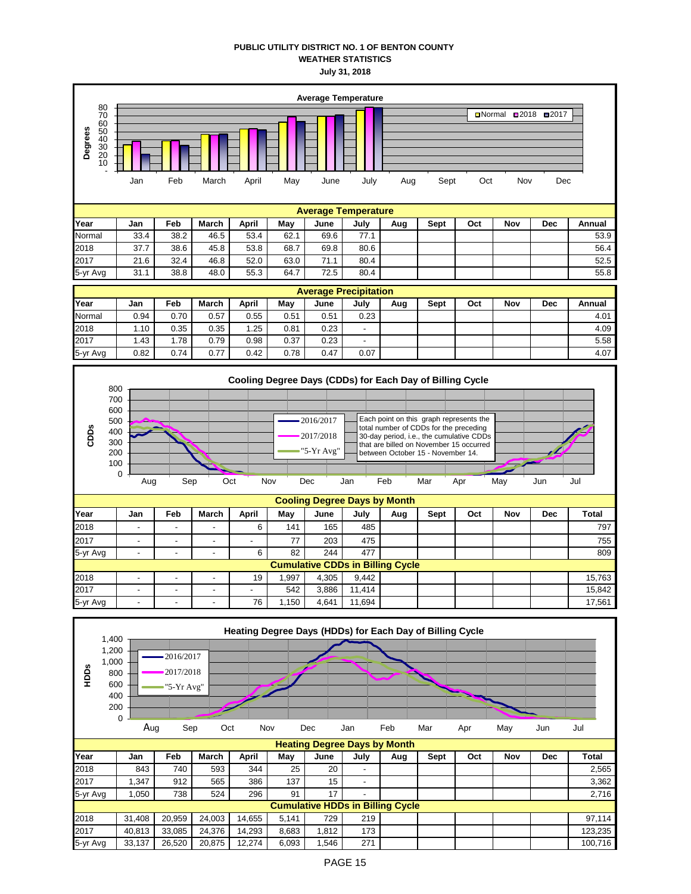### **PUBLIC UTILITY DISTRICT NO. 1 OF BENTON COUNTY WEATHER STATISTICS July 31, 2018**



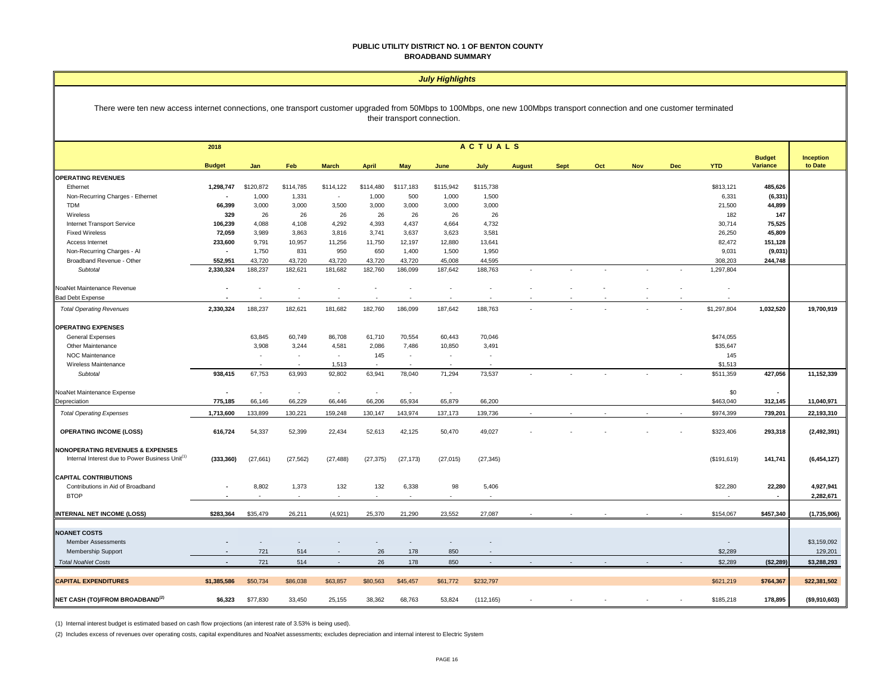#### **PUBLIC UTILITY DISTRICT NO. 1 OF BENTON COUNTY BROADBAND SUMMARY**

#### *July Highlights*

#### There were ten new access internet connections, one transport customer upgraded from 50Mbps to 100Mbps, one new 100Mbps transport connection and one customer terminated their transport connection.

|                                                             | 2018          |           |                          |              |              |                            |           | <b>ACTUALS</b>           |               |             |     |            |            |              |                           |                      |
|-------------------------------------------------------------|---------------|-----------|--------------------------|--------------|--------------|----------------------------|-----------|--------------------------|---------------|-------------|-----|------------|------------|--------------|---------------------------|----------------------|
|                                                             | <b>Budget</b> | Jan       | Feb                      | <b>March</b> | <b>April</b> | <b>May</b>                 | June      | July                     | <b>August</b> | <b>Sept</b> | Oct | <b>Nov</b> | <b>Dec</b> | <b>YTD</b>   | <b>Budget</b><br>Variance | Inception<br>to Date |
| <b>OPERATING REVENUES</b>                                   |               |           |                          |              |              |                            |           |                          |               |             |     |            |            |              |                           |                      |
| Ethernet                                                    | 1,298,747     | \$120,872 | \$114,785                | \$114,122    | \$114,480    | \$117,183                  | \$115,942 | \$115,738                |               |             |     |            |            | \$813,121    | 485,626                   |                      |
| Non-Recurring Charges - Ethernet                            |               | 1,000     | 1,331                    | $\sim$       | 1,000        | 500                        | 1,000     | 1,500                    |               |             |     |            |            | 6,331        | (6, 331)                  |                      |
| TDM                                                         | 66,399        | 3,000     | 3,000                    | 3,500        | 3,000        | 3,000                      | 3,000     | 3,000                    |               |             |     |            |            | 21,500       | 44,899                    |                      |
| Wireless                                                    | 329           | 26        | 26                       | 26           | 26           | 26                         | 26        | 26                       |               |             |     |            |            | 182          | 147                       |                      |
| Internet Transport Service                                  | 106,239       | 4,088     | 4,108                    | 4,292        | 4,393        | 4,437                      | 4,664     | 4,732                    |               |             |     |            |            | 30,714       | 75,525                    |                      |
| <b>Fixed Wireless</b>                                       | 72,059        | 3,989     | 3,863                    | 3,816        | 3,741        | 3,637                      | 3,623     | 3,581                    |               |             |     |            |            | 26,250       | 45,809                    |                      |
| Access Internet                                             | 233,600       | 9,791     | 10,957                   | 11,256       | 11,750       | 12,197                     | 12,880    | 13,641                   |               |             |     |            |            | 82,472       | 151,128                   |                      |
| Non-Recurring Charges - Al                                  | $\sim$        | 1,750     | 831                      | 950          | 650          | 1,400                      | 1,500     | 1,950                    |               |             |     |            |            | 9,031        | (9,031)                   |                      |
| Broadband Revenue - Other                                   | 552,951       | 43,720    | 43.720                   | 43.720       | 43,720       | 43.720                     | 45,008    | 44,595                   |               |             |     |            |            | 308,203      | 244,748                   |                      |
| Subtotal                                                    | 2,330,324     | 188,237   | 182,621                  | 181,682      | 182,760      | 186,099                    | 187,642   | 188,763                  |               |             |     |            |            | 1,297,804    |                           |                      |
| NoaNet Maintenance Revenue                                  |               |           |                          |              |              |                            |           |                          |               |             |     |            |            |              |                           |                      |
| <b>Bad Debt Expense</b>                                     |               |           |                          |              |              |                            |           |                          |               |             |     |            |            |              |                           |                      |
| <b>Total Operating Revenues</b>                             | 2,330,324     | 188,237   | 182,621                  | 181,682      | 182,760      | 186,099                    | 187,642   | 188,763                  |               |             |     |            |            | \$1,297,804  | 1,032,520                 | 19,700,919           |
| <b>OPERATING EXPENSES</b>                                   |               |           |                          |              |              |                            |           |                          |               |             |     |            |            |              |                           |                      |
| <b>General Expenses</b>                                     |               | 63,845    | 60,749                   | 86,708       | 61,710       | 70,554                     | 60,443    | 70,046                   |               |             |     |            |            | \$474,055    |                           |                      |
| Other Maintenance                                           |               | 3,908     | 3,244                    | 4,581        | 2,086        | 7,486                      | 10,850    | 3,491                    |               |             |     |            |            | \$35,647     |                           |                      |
| NOC Maintenance                                             |               |           |                          | $\sim$       | 145          |                            | $\sim$    | $\overline{\phantom{a}}$ |               |             |     |            |            | 145          |                           |                      |
| Wireless Maintenance                                        |               |           |                          | 1,513        |              |                            |           |                          |               |             |     |            |            | \$1,513      |                           |                      |
| Subtotal                                                    | 938,415       | 67,753    | 63,993                   | 92,802       | 63,941       | 78,040                     | 71,294    | 73,537                   |               |             |     |            |            | \$511,359    | 427,056                   | 11,152,339           |
| NoaNet Maintenance Expense                                  |               | ٠         | $\overline{\phantom{a}}$ | $\sim$       | $\sim$       | <b><i><u>Parts</u></i></b> | $\sim$    |                          |               |             |     |            |            | \$0          | $\sim$                    |                      |
| Depreciation                                                | 775,185       | 66,146    | 66,229                   | 66,446       | 66,206       | 65,934                     | 65,879    | 66,200                   |               |             |     |            |            | \$463,040    | 312,145                   | 11,040,971           |
| <b>Total Operating Expenses</b>                             | 1,713,600     | 133,899   | 130,221                  | 159,248      | 130,147      | 143,974                    | 137,173   | 139,736                  |               |             |     |            |            | \$974,399    | 739,201                   | 22,193,310           |
| <b>OPERATING INCOME (LOSS)</b>                              | 616,724       | 54,337    | 52,399                   | 22,434       | 52,613       | 42,125                     | 50,470    | 49,027                   |               |             |     |            |            | \$323,406    | 293,318                   | (2, 492, 391)        |
| <b>NONOPERATING REVENUES &amp; EXPENSES</b>                 |               |           |                          |              |              |                            |           |                          |               |             |     |            |            |              |                           |                      |
| Internal Interest due to Power Business Unit <sup>(1)</sup> | (333, 360)    | (27, 661) | (27, 562)                | (27, 488)    | (27, 375)    | (27, 173)                  | (27, 015) | (27, 345)                |               |             |     |            |            | (\$191, 619) | 141,741                   | (6,454,127)          |
| <b>CAPITAL CONTRIBUTIONS</b>                                |               |           |                          |              |              |                            |           |                          |               |             |     |            |            |              |                           |                      |
| Contributions in Aid of Broadband                           |               | 8,802     | 1,373                    | 132          | 132          | 6,338                      | 98        | 5,406                    |               |             |     |            |            | \$22,280     | 22,280                    | 4,927,941            |
| <b>BTOP</b>                                                 |               |           | $\sim$                   |              |              |                            |           |                          |               |             |     |            |            |              |                           | 2,282,671            |
| INTERNAL NET INCOME (LOSS)                                  | \$283,364     | \$35,479  | 26,211                   | (4, 921)     | 25,370       | 21,290                     | 23,552    | 27,087                   |               |             |     |            |            | \$154,067    | \$457,340                 | (1,735,906)          |
| <b>NOANET COSTS</b>                                         |               |           |                          |              |              |                            |           |                          |               |             |     |            |            |              |                           |                      |
| <b>Member Assessments</b>                                   |               |           |                          |              |              |                            |           |                          |               |             |     |            |            |              |                           | \$3,159,092          |
| <b>Membership Support</b>                                   |               | 721       | 514                      |              | 26           | 178                        | 850       |                          |               |             |     |            |            | \$2,289      |                           | 129,201              |
|                                                             | $\sim$        | 721       |                          | $\sim$       | 26           |                            |           | $\sim$                   |               |             |     |            |            | \$2,289      |                           |                      |
| <b>Total NoaNet Costs</b>                                   |               |           | 514                      |              |              | 178                        | 850       |                          |               |             |     |            |            |              | (\$2,289)                 | \$3,288,293          |
| <b>CAPITAL EXPENDITURES</b>                                 | \$1,385,586   | \$50,734  | \$86,038                 | \$63,857     | \$80,563     | \$45,457                   | \$61,772  | \$232,797                |               |             |     |            |            | \$621,219    | \$764,367                 | \$22,381,502         |
| NET CASH (TO)/FROM BROADBAND <sup>(2)</sup>                 | \$6.323       | \$77,830  | 33.450                   | 25.155       | 38.362       | 68.763                     | 53,824    | (112, 165)               |               |             |     |            |            | \$185,218    | 178,895                   | ( \$9,910,603)       |

(1) Internal interest budget is estimated based on cash flow projections (an interest rate of 3.53% is being used).

(2) Includes excess of revenues over operating costs, capital expenditures and NoaNet assessments; excludes depreciation and internal interest to Electric System